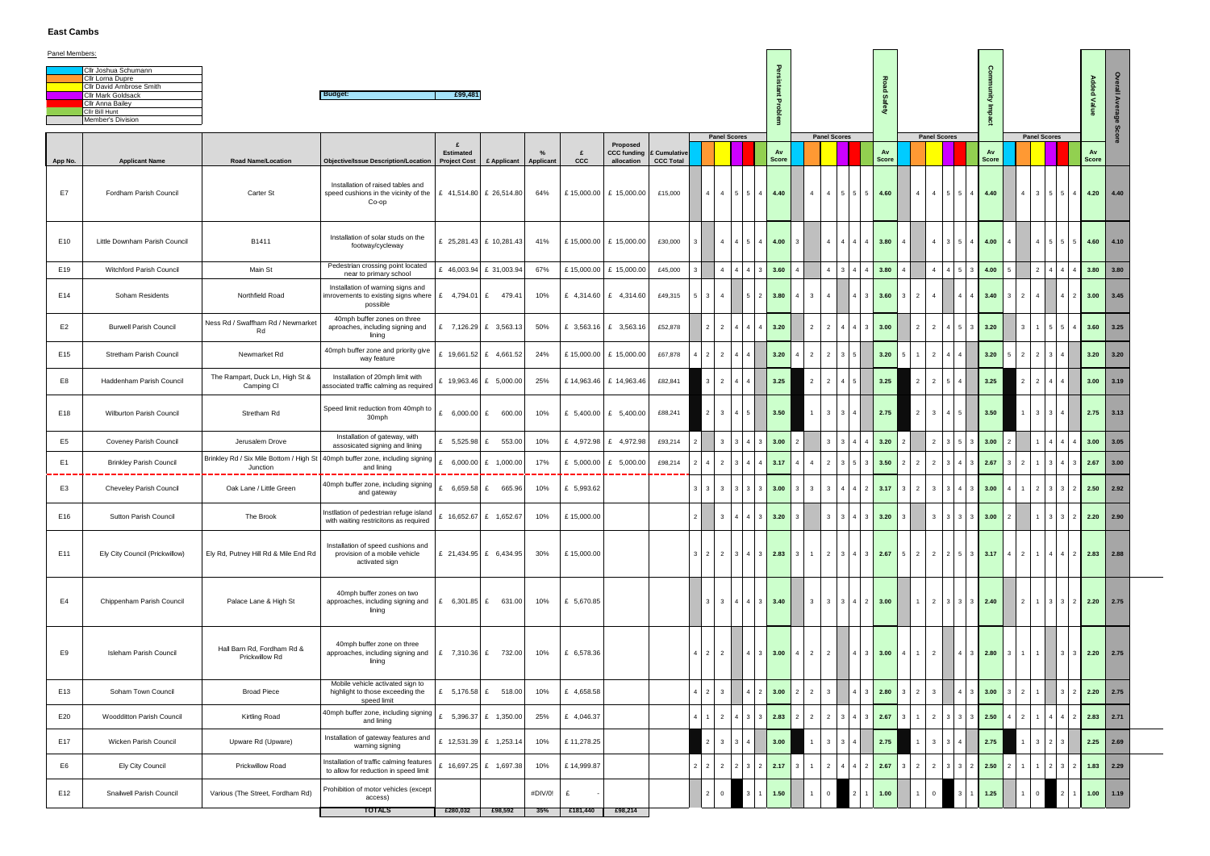## **East Cambs**

| Cllr Joshua Schumann            |
|---------------------------------|
| <b>Cllr Lorna Dupre</b>         |
| <b>Cllr David Ambrose Smith</b> |
| <b>Cllr Mark Goldsack</b>       |
| Cllr Anna Bailey                |
| <b>Cllr Bill Hunt</b>           |
| Member's Division               |

| Panel Members: |                                                       |                                                                                |                                                                                                                                                                  |                                         |                         |                            |                 |                                  |                                  |                 |                         |                                                  |                        |                    |                                 |                                                                                                      |                        |                    |                                   |                             |                                    |          |                    |                |                                         |                             |                |                                                                    |  |
|----------------|-------------------------------------------------------|--------------------------------------------------------------------------------|------------------------------------------------------------------------------------------------------------------------------------------------------------------|-----------------------------------------|-------------------------|----------------------------|-----------------|----------------------------------|----------------------------------|-----------------|-------------------------|--------------------------------------------------|------------------------|--------------------|---------------------------------|------------------------------------------------------------------------------------------------------|------------------------|--------------------|-----------------------------------|-----------------------------|------------------------------------|----------|--------------------|----------------|-----------------------------------------|-----------------------------|----------------|--------------------------------------------------------------------|--|
|                | Cllr Joshua Schumann<br>Cllr Lorna Dupre              |                                                                                |                                                                                                                                                                  |                                         |                         |                            |                 |                                  |                                  |                 |                         |                                                  |                        |                    |                                 |                                                                                                      |                        | ᅎ                  |                                   |                             |                                    |          |                    |                |                                         |                             |                |                                                                    |  |
|                | Cllr David Ambrose Smith<br><b>Cllr Mark Goldsack</b> |                                                                                | <b>Budget:</b>                                                                                                                                                   | £99,481                                 |                         |                            |                 |                                  |                                  |                 |                         |                                                  |                        |                    |                                 |                                                                                                      |                        | ဖ                  |                                   |                             |                                    |          |                    |                |                                         |                             |                | Added Value                                                        |  |
|                | Cllr Anna Bailey<br>Cllr Bill Hunt                    |                                                                                |                                                                                                                                                                  |                                         |                         |                            |                 |                                  |                                  |                 |                         |                                                  |                        |                    |                                 |                                                                                                      |                        | ತಿ                 |                                   |                             |                                    |          |                    |                |                                         |                             |                |                                                                    |  |
|                | Member's Division                                     |                                                                                |                                                                                                                                                                  |                                         |                         |                            |                 |                                  |                                  |                 |                         |                                                  |                        |                    |                                 |                                                                                                      |                        |                    |                                   |                             |                                    |          |                    |                |                                         |                             |                |                                                                    |  |
|                |                                                       |                                                                                |                                                                                                                                                                  | £                                       |                         |                            |                 | Proposed                         |                                  |                 | <b>Panel Scores</b>     |                                                  |                        |                    |                                 | <b>Panel Scores</b>                                                                                  |                        |                    |                                   | <b>Panel Scores</b>         |                                    |          |                    |                | <b>Panel Scores</b>                     |                             |                |                                                                    |  |
| App No.        | <b>Applicant Name</b>                                 | <b>Road Name/Location</b>                                                      | <b>Objective/Issue Description/Location</b>                                                                                                                      | <b>Estimated</b><br><b>Project Cost</b> | £ Applicant             | $\frac{0}{6}$<br>Applicant | £<br><b>CCC</b> | <b>CCC funding</b><br>allocation | £ Cumulative<br><b>CCC Total</b> |                 |                         |                                                  |                        | Av<br><b>Score</b> |                                 |                                                                                                      |                        | Av<br><b>Score</b> |                                   |                             |                                    |          | Av<br><b>Score</b> |                |                                         |                             |                | Av<br>Score                                                        |  |
|                |                                                       |                                                                                |                                                                                                                                                                  |                                         |                         |                            |                 |                                  |                                  |                 |                         |                                                  |                        |                    |                                 |                                                                                                      |                        |                    |                                   |                             |                                    |          |                    |                |                                         |                             |                |                                                                    |  |
| E7             | Fordham Parish Council                                | Carter St                                                                      | Installation of raised tables and<br>speed cushions in the vicinity of the   £ 41,514.80 $\mathsf{E}$ 26,514.80                                                  |                                         |                         | 64%                        |                 | £15,000.00   £15,000.00          | £15,000                          |                 |                         | 4 4 5 5 4 4.40                                   |                        |                    | $4 \mid$                        | 4 5 5 5 4.60                                                                                         |                        |                    |                                   | 4 4 5 5 4 4.40              |                                    |          |                    |                |                                         |                             |                | $4 \mid 3 \mid 5 \mid 5 \mid 4 \mid 4.20 \mid 4.40$                |  |
|                |                                                       |                                                                                | Co-op                                                                                                                                                            |                                         |                         |                            |                 |                                  |                                  |                 |                         |                                                  |                        |                    |                                 |                                                                                                      |                        |                    |                                   |                             |                                    |          |                    |                |                                         |                             |                |                                                                    |  |
|                |                                                       |                                                                                |                                                                                                                                                                  |                                         |                         |                            |                 |                                  |                                  |                 |                         |                                                  |                        |                    |                                 |                                                                                                      |                        |                    |                                   |                             |                                    |          |                    |                |                                         |                             |                |                                                                    |  |
| E10            | Little Downham Parish Council                         | B1411                                                                          | Installation of solar studs on the<br>footway/cycleway                                                                                                           | £ 25,281.43 £ 10,281.43                 |                         | 41%                        |                 | £15,000.00 £15,000.00            | £30,000                          |                 |                         | 4 4 5 4 4.00                                     |                        | -3                 |                                 | $4$ 4 4 4 3.80                                                                                       |                        |                    |                                   |                             | 4 3 5 4 4.00                       |          |                    |                | $\overline{4}$                          | $5 \mid 5 \mid 5 \mid 4.60$ |                | 4.10                                                               |  |
| E19            | Witchford Parish Council                              | Main St                                                                        | Pedestrian crossing point located                                                                                                                                |                                         | £ 46,003.94 £ 31,003.94 | 67%                        | £15,000.00      | £ 15,000.00                      | £45,000                          |                 | $4 \mid 4$              |                                                  | $4 \quad 3 \quad 3.60$ |                    |                                 | $4 \quad 3 \quad 4$                                                                                  |                        | 3.80               |                                   |                             | $4 \mid 4 \mid 5 \mid 3$           |          | 4.00               |                | $\cdot$ 2 <sup><math>\cdot</math></sup> | $4 \mid 4 \mid$             | $4 \mid 3.80$  | 3.80                                                               |  |
|                |                                                       |                                                                                | near to primary school                                                                                                                                           |                                         |                         |                            |                 |                                  |                                  |                 |                         |                                                  |                        |                    |                                 |                                                                                                      |                        |                    |                                   |                             |                                    |          |                    |                |                                         |                             |                |                                                                    |  |
| E14            | Soham Residents                                       | Northfield Road                                                                | Installation of warning signs and<br>imrovements to existing signs where $\left  \begin{array}{cc} \text{£} & 4,794.01 \end{array} \right $ £ 479.41<br>possible |                                         |                         | 10%                        |                 | £ 4,314.60 £ 4,314.60            | £49,315                          |                 | 5 3 4 1                 |                                                  | $5 \t2 \t3.80$         | $\overline{4}$     | $\vert$ 3                       | 4                                                                                                    | 4 3                    | 3.60               | $3 \mid 2 \mid$                   | $\overline{4}$              |                                    |          | 3.40               | $\overline{2}$ |                                         |                             | $2 \mid 3.00$  | 3.45                                                               |  |
|                |                                                       |                                                                                | 40mph buffer zones on three                                                                                                                                      |                                         |                         |                            |                 |                                  |                                  |                 |                         |                                                  |                        |                    |                                 |                                                                                                      |                        |                    |                                   |                             |                                    |          |                    |                |                                         |                             |                |                                                                    |  |
| E <sub>2</sub> | <b>Burwell Parish Council</b>                         | Ness Rd / Swaffham Rd / Newmarket<br>Rd                                        | aproaches, including signing and<br>lining                                                                                                                       | £ 7,126.29 £ 3,563.13                   |                         | 50%                        | £ 3,563.16      | £ 3,563.16                       | £52,878                          | 2               |                         | 2 4 4 4 3.20                                     |                        |                    | $\overline{2}$                  | 2 <sup>1</sup>                                                                                       | $4 \mid 4 \mid 3$      | 3.00               | $\overline{2}$                    |                             | 2 4 5 3 3.20                       |          |                    |                |                                         | 5 5                         | 3.60           | 3.25                                                               |  |
| E15            | <b>Stretham Parish Council</b>                        | Newmarket Rd                                                                   | 40mph buffer zone and priority give                                                                                                                              | £ 19,661.52 £ 4,661.52                  |                         | 24%                        |                 | £15,000.00 £15,000.00            | £67,878                          |                 | $4$   2   2   4         |                                                  |                        | 3.20               | $\overline{2}$                  | 2 <sup>1</sup><br>$3 \mid 5$                                                                         |                        | 3.20               |                                   | 2 I                         | 4   4                              |          | 3.20               | -2             | $\overline{2}$                          |                             | 3.20           | 3.20                                                               |  |
|                |                                                       |                                                                                | way feature                                                                                                                                                      |                                         |                         |                            |                 |                                  |                                  |                 |                         |                                                  |                        |                    |                                 |                                                                                                      |                        |                    |                                   |                             |                                    |          |                    |                |                                         |                             |                |                                                                    |  |
| E8             | Haddenham Parish Council                              | The Rampart, Duck Ln, High St &<br>Camping CI                                  | Installation of 20mph limit with<br>associated traffic calming as required                                                                                       | £ 19,963.46 £ 5,000.00                  |                         | 25%                        |                 | £14,963.46 £ 14,963.46           | £82,841                          | 3               | $2 \t 4$                |                                                  |                        | 3.25               | $\overline{2}$                  | 2 I<br>4 5                                                                                           |                        | 3.25               | $\overline{2}$                    | 2 5 4                       |                                    |          | 3.25               | $\overline{2}$ | 2 4                                     |                             |                | 3.00<br>3.19                                                       |  |
|                |                                                       |                                                                                | Speed limit reduction from 40mph to                                                                                                                              |                                         |                         |                            |                 |                                  |                                  |                 |                         |                                                  |                        |                    |                                 |                                                                                                      |                        |                    |                                   |                             |                                    |          |                    |                |                                         |                             |                |                                                                    |  |
| E18            | <b>Wilburton Parish Council</b>                       | Stretham Rd                                                                    | 30mph                                                                                                                                                            | £ 6,000.00 £ 600.00                     |                         | 10%                        |                 | £ 5,400.00 £ 5,400.00            | £88,241                          |                 |                         | $2 \quad 3 \quad 4 \quad 5$                      |                        | 3.50               | $\overline{1}$                  | $3 \mid 3 \mid 4$                                                                                    |                        | 2.75               |                                   | $2 \quad 3 \quad 4 \quad 5$ |                                    |          | 3.50               |                | 3                                       | $3 \mid 4 \mid$             |                | 2.75<br>3.13                                                       |  |
| E <sub>5</sub> | <b>Coveney Parish Council</b>                         | Jerusalem Drove                                                                | Installation of gateway, with                                                                                                                                    | £ $5,525.98$ £ 553.00                   |                         | 10%                        |                 | £ 4,972.98 £ 4,972.98            | £93,214                          |                 | $\mathbf{3}$            | $\vert$ 3<br>4                                   |                        | 3.00               |                                 | 3 I<br>3   4                                                                                         |                        | 3.20               |                                   | 2                           | $3 \mid 5 \mid$                    |          | 3.00               |                |                                         | 4 4                         | 3.00           | 3.05                                                               |  |
|                |                                                       | Brinkley Rd / Six Mile Bottom / High St   40mph buffer zone, including signing | assosicated signing and lining                                                                                                                                   |                                         |                         |                            |                 |                                  |                                  |                 |                         |                                                  |                        |                    |                                 |                                                                                                      |                        |                    | $\overline{2}$                    |                             |                                    |          |                    |                |                                         |                             |                |                                                                    |  |
| E <sub>1</sub> | <b>Brinkley Parish Council</b>                        | Junction                                                                       | and lining                                                                                                                                                       | £ 6,000.00 £ 1,000.00                   |                         | 17%                        | £ $5,000.00$    | £ $5,000.00$                     | £98,214                          |                 | $2 \mid 3$              | 4 I                                              | $4 \mid 3.17$          |                    | $\overline{a}$                  | 2 <sup>1</sup><br>$3 \mid 5 \mid 3$                                                                  |                        | 3.50               |                                   | 2 I                         | $3 \mid 4 \mid 3$                  |          | 2.67               |                |                                         | $3 \mid 4$                  | $3\quad 2.67$  | 3.00                                                               |  |
| E <sub>3</sub> | Cheveley Parish Council                               | Oak Lane / Little Green                                                        | 40mph buffer zone, including signing<br>and gateway                                                                                                              | £ 6,659.58 £ 665.96                     |                         | 10%                        | £ 5,993.62      |                                  |                                  |                 |                         | $3 \mid 3 \mid 3 \mid 3 \mid 3 \mid 3 \mid 3.00$ |                        | l 3                | 3                               | 3 I<br>44                                                                                            |                        | 3.17               | $3 \mid 2$                        | 3 <sup>1</sup>              | 3 4 1                              |          | 3.00               |                | $\overline{2}$                          | $3 \mid 3$                  | 2.50           | 2.92                                                               |  |
|                |                                                       |                                                                                | Instllation of pedestrian refuge island                                                                                                                          |                                         |                         |                            |                 |                                  |                                  |                 |                         |                                                  |                        |                    |                                 |                                                                                                      |                        |                    |                                   |                             |                                    |          |                    |                |                                         |                             |                |                                                                    |  |
| E16            | Sutton Parish Council                                 | The Brook                                                                      | with waiting restricitons as required                                                                                                                            |                                         | £ 16,652.67 £ 1,652.67  | 10%                        | £15,000.00      |                                  |                                  |                 |                         | $3 \mid 4 \mid 4 \mid 3 \mid 3.20$               |                        |                    |                                 | $3 \mid 3 \mid 4 \mid 3$                                                                             |                        | 3.20               |                                   |                             | $3 \mid 3 \mid 3 \mid 3 \mid 3.00$ |          |                    |                |                                         | $3 \mid 3$                  | $2 \quad 2.20$ | $2.90$                                                             |  |
|                |                                                       |                                                                                | Installation of speed cushions and                                                                                                                               |                                         |                         |                            |                 |                                  |                                  |                 |                         |                                                  |                        |                    |                                 |                                                                                                      |                        |                    |                                   |                             |                                    |          |                    |                |                                         |                             |                |                                                                    |  |
| E11            | Ely City Council (Prickwillow)                        | Ely Rd, Putney Hill Rd & Mile End Rd                                           | provision of a mobile vehicle<br>activated sign                                                                                                                  | £ 21,434.95 £ 6,434.95                  |                         | 30%                        | £15,000.00      |                                  |                                  |                 |                         |                                                  |                        |                    |                                 | $3 \mid 2 \mid 2 \mid 3 \mid 4 \mid 3 \mid 2.83 \mid 3 \mid 1 \mid 2 \mid 3 \mid 4 \mid 3 \mid 2.67$ |                        |                    |                                   |                             |                                    |          |                    |                |                                         |                             |                | 5   2   2   2   5   3   3.17   4   2   1   4   4   2   2.83   2.88 |  |
|                |                                                       |                                                                                |                                                                                                                                                                  |                                         |                         |                            |                 |                                  |                                  |                 |                         |                                                  |                        |                    |                                 |                                                                                                      |                        |                    |                                   |                             |                                    |          |                    |                |                                         |                             |                |                                                                    |  |
|                |                                                       |                                                                                | 40mph buffer zones on two                                                                                                                                        |                                         |                         |                            |                 |                                  |                                  |                 |                         |                                                  |                        |                    |                                 |                                                                                                      |                        |                    |                                   |                             |                                    |          |                    |                |                                         |                             |                |                                                                    |  |
| E4             | Chippenham Parish Council                             | Palace Lane & High St                                                          | approaches, including signing and<br>lining                                                                                                                      | £ 6,301.85 £ 631.00                     |                         | 10%                        | £ 5,670.85      |                                  |                                  |                 |                         | $3 \mid 3 \mid 4 \mid 4 \mid 3 \mid 3.40$        |                        |                    | $\blacksquare$ 3 $\blacksquare$ | $3 \mid 3 \mid 4 \mid 2 \mid 3.00$                                                                   |                        |                    |                                   |                             | 2 3 3 3 2.40                       |          |                    |                |                                         |                             |                | 2 1 3 3 2 2.20 2.75                                                |  |
|                |                                                       |                                                                                |                                                                                                                                                                  |                                         |                         |                            |                 |                                  |                                  |                 |                         |                                                  |                        |                    |                                 |                                                                                                      |                        |                    |                                   |                             |                                    |          |                    |                |                                         |                             |                |                                                                    |  |
| E9             | <b>Isleham Parish Council</b>                         | Hall Barn Rd. Fordham Rd &                                                     | 40mph buffer zone on three<br>approaches, including signing and                                                                                                  | £ 7,310.36 £ 732.00                     |                         | 10%                        | £ 6,578.36      |                                  |                                  |                 | $4 \mid 2 \mid 2 \mid$  |                                                  | 4 3 3.00               |                    | $4 \mid 2 \mid$                 | 2 I                                                                                                  | $4 \quad 3 \quad 3.00$ |                    | $\vert 4 \vert$<br>$\overline{1}$ |                             |                                    | 4 3 2.80 |                    |                | 1 <sup>1</sup>                          |                             |                | $3 \mid 3 \mid 2.20 \mid 2.75$                                     |  |
|                |                                                       | Prickwillow Rd                                                                 | lining                                                                                                                                                           |                                         |                         |                            |                 |                                  |                                  |                 |                         |                                                  |                        |                    |                                 |                                                                                                      |                        |                    |                                   |                             |                                    |          |                    |                |                                         |                             |                |                                                                    |  |
|                |                                                       |                                                                                | Mobile vehicle activated sign to                                                                                                                                 |                                         |                         |                            |                 |                                  |                                  |                 |                         |                                                  |                        |                    |                                 |                                                                                                      |                        |                    |                                   |                             |                                    |          |                    |                |                                         |                             |                |                                                                    |  |
| E13            | Soham Town Council                                    | <b>Broad Piece</b>                                                             | highlight to those exceeding the<br>speed limit                                                                                                                  | £ 5,176.58 £ 518.00                     |                         | 10%                        | £ 4,658.58      |                                  |                                  | 4121            | 3                       |                                                  | $4 \t2 \t3.00$         | $\sqrt{2}$         | $\vert$ 2                       | $\mathbf{3}$                                                                                         |                        | 2.80               | $\overline{2}$                    | $\overline{\mathbf{3}}$     |                                    |          | 3.00               |                |                                         |                             | 2.20           | 2.75                                                               |  |
| E20            | <b>Woodditton Parish Council</b>                      | Kirtling Road                                                                  | 40mph buffer zone, including signing<br>and lining                                                                                                               | £ $5,396.37$ £ 1,350.00                 |                         | 25%                        | £ 4,046.37      |                                  |                                  |                 | 2 4                     |                                                  | $3 \quad 3 \quad 2.83$ | $\overline{2}$     | $\overline{\phantom{a}}$        | $2 \mid 3 \mid 4 \mid 3$                                                                             |                        | 2.67               |                                   |                             | 2 3 3 3 2.50                       |          |                    |                |                                         |                             | 2.83           | 2.71                                                               |  |
|                |                                                       |                                                                                | Installation of gateway features and                                                                                                                             |                                         |                         |                            |                 |                                  |                                  |                 |                         |                                                  |                        |                    |                                 |                                                                                                      |                        |                    |                                   |                             |                                    |          |                    |                |                                         |                             |                |                                                                    |  |
| E17            | Wicken Parish Council                                 | Upware Rd (Upware)                                                             | warning signing                                                                                                                                                  | £ 12,531.39 £ 1,253.14                  |                         | 10%                        | £11,278.25      |                                  |                                  | $\overline{2}$  | $3 \mid 3$              |                                                  |                        | 3.00               |                                 | $3-1$                                                                                                |                        | 2.75               |                                   | $3 \mid 3 \mid 4$           |                                    |          | 2.75               |                |                                         | $3 \mid 2 \mid 3$           | 2.25           | 2.69                                                               |  |
| E6             | <b>Ely City Council</b>                               | Prickwillow Road                                                               | nstallation of traffic calming features<br>to allow for reduction in speed limit                                                                                 | £ 16,697.25 £ 1,697.38                  |                         | 10%                        | £14,999.87      |                                  |                                  | $2 \mid 2 \mid$ | $2 \mid 2$              | 3 <sup>1</sup>                                   |                        | 2.17<br>-3         |                                 | 2 <sup>1</sup>                                                                                       |                        | 2.67               | $\overline{2}$                    | $\overline{2}$              | $3 \mid 3 \mid$                    |          | 2.50               |                |                                         | $2 \mid 3$                  |                | 1.83<br>2.29                                                       |  |
| E12            | Snailwell Parish Council                              | Various (The Street, Fordham Rd)                                               | Prohibition of motor vehicles (except                                                                                                                            |                                         |                         | #DIV/0!                    | £               |                                  |                                  |                 |                         | 3 <sup>1</sup>                                   |                        | 1.50               |                                 |                                                                                                      | 2                      | 1.00               |                                   |                             | 3 <sup>1</sup>                     |          | 1.25               |                |                                         |                             |                | $1.00$ 1.19                                                        |  |
|                |                                                       |                                                                                | access)                                                                                                                                                          |                                         |                         |                            |                 |                                  |                                  | l 2 l           | $\overline{\mathbf{0}}$ |                                                  |                        |                    |                                 |                                                                                                      |                        |                    |                                   |                             |                                    |          |                    |                |                                         |                             |                |                                                                    |  |
|                |                                                       |                                                                                | <b>TOTALS</b>                                                                                                                                                    | £280,032                                | £98,592                 | 35%                        | £181,440        | £98,214                          |                                  |                 |                         |                                                  |                        |                    |                                 |                                                                                                      |                        |                    |                                   |                             |                                    |          |                    |                |                                         |                             |                |                                                                    |  |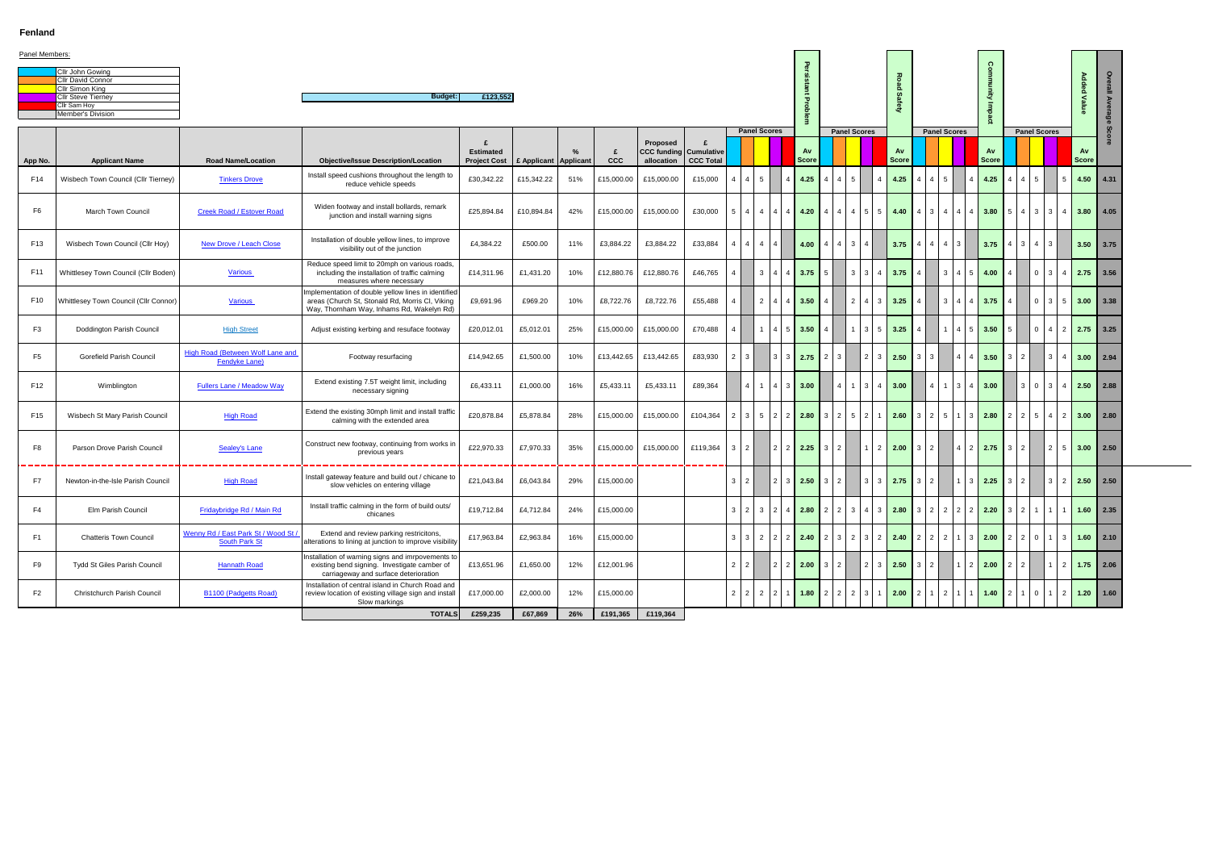## **Fenland**

| Panel Member |  |  |  |
|--------------|--|--|--|
|              |  |  |  |

| Cllr John Gowing          |
|---------------------------|
| <b>Cllr David Connor</b>  |
| Cllr Simon King           |
| <b>Cllr Steve Tierney</b> |
| Cllr Sam Hoy              |
| Member's Division         |

| Panel Members: |                                                                                              |                                                                 |                                                                                                                                                     |                                         |                         |     |                 |                                             |                  |                 |                             |                                 |                           |                    |                     |                     |                      |                                                          |                             |                      |                |                |                                       |                    |                                |                            |
|----------------|----------------------------------------------------------------------------------------------|-----------------------------------------------------------------|-----------------------------------------------------------------------------------------------------------------------------------------------------|-----------------------------------------|-------------------------|-----|-----------------|---------------------------------------------|------------------|-----------------|-----------------------------|---------------------------------|---------------------------|--------------------|---------------------|---------------------|----------------------|----------------------------------------------------------|-----------------------------|----------------------|----------------|----------------|---------------------------------------|--------------------|--------------------------------|----------------------------|
|                | Cllr John Gowing<br>Cllr David Connor<br><b>Cllr Simon King</b><br><b>Cllr Steve Tierney</b> |                                                                 | <b>Budget:</b>                                                                                                                                      | £123,552                                |                         |     |                 |                                             |                  |                 |                             |                                 | p<br>菜                    |                    |                     |                     | 정<br>$\Omega$        |                                                          |                             | ⋜                    | ဂ္ဂ            |                |                                       |                    | ö.<br>×                        | Š<br>erall<br>$\checkmark$ |
|                | Cllr Sam Hoy<br>Member's Division                                                            |                                                                 |                                                                                                                                                     |                                         |                         |     |                 |                                             |                  |                 |                             |                                 | Problem                   |                    |                     |                     |                      |                                                          |                             |                      |                |                |                                       |                    |                                |                            |
|                |                                                                                              |                                                                 |                                                                                                                                                     |                                         |                         |     |                 |                                             |                  |                 | <b>Panel Scores</b>         |                                 |                           |                    | <b>Panel Scores</b> |                     |                      |                                                          | <b>Panel Scores</b>         |                      |                |                | <b>Panel Scores</b>                   |                    |                                |                            |
|                |                                                                                              |                                                                 |                                                                                                                                                     | £                                       |                         |     |                 | Proposed                                    | £                |                 |                             |                                 |                           |                    |                     |                     |                      |                                                          |                             |                      |                |                |                                       |                    |                                |                            |
| App No.        | <b>Applicant Name</b>                                                                        | <b>Road Name/Location</b>                                       | <b>Objective/Issue Description/Location</b>                                                                                                         | <b>Estimated</b><br><b>Project Cost</b> | £ Applicant   Applicant |     | £<br><b>CCC</b> | <b>CCC funding Cumulative</b><br>allocation | <b>CCC Total</b> |                 |                             |                                 | <b>Av</b><br><b>Score</b> |                    |                     |                     | Av<br><b>Score</b>   |                                                          |                             | <b>Score</b>         | Av             |                |                                       |                    | Av<br><b>Score</b>             |                            |
| F14            | Wisbech Town Council (Cllr Tierney)                                                          | <b>Tinkers Drove</b>                                            | Install speed cushions throughout the length to<br>reduce vehicle speeds                                                                            | £30,342.22                              | £15,342.22              | 51% | £15,000.00      | £15,000.00                                  | £15,000          | 4   4           | 5 <sup>5</sup>              |                                 | 4.25                      |                    | $15 -$              |                     | 4.25                 |                                                          | 5                           | 4.25                 |                |                | 5 <sup>1</sup>                        |                    | 4.50                           | 4.31                       |
| F <sub>6</sub> | March Town Council                                                                           | <b>Creek Road / Estover Road</b>                                | Widen footway and install bollards, remark<br>junction and install warning signs                                                                    | £25,894.84                              | £10,894.84              | 42% | £15,000.00      | £15,000.00                                  | £30,000          | $5 \mid 4$      | $\overline{4}$              | $\overline{4}$                  | 4.20                      |                    | 44                  | $\overline{5}$<br>5 | 4.40                 | $\vert 3 \vert$<br>$\overline{4}$                        | 4                           | 3.80                 |                |                | $3 \mid 3 \mid$                       |                    | 3.80                           | 4.05                       |
| F13            | Wisbech Town Council (Cllr Hoy)                                                              | New Drove / Leach Close                                         | Installation of double yellow lines, to improve<br>visibility out of the junction                                                                   | £4,384.22                               | £500.00                 | 11% | £3,884.22       | £3,884.22                                   | £33,884          | $4 \mid 4$      | $\overline{4}$              |                                 | 4.00                      | $4 \mid 4 \mid 3$  |                     |                     | 3.75                 | $\overline{4}$<br>$\overline{4}$                         | 4                           |                      | 3.75           |                | $\overline{4}$<br>$\mathbf{3}$        |                    | 3.50                           | 3.75                       |
| F11            | Whittlesey Town Council (Cllr Boden)                                                         | <b>Various</b>                                                  | Reduce speed limit to 20mph on various roads,<br>including the installation of traffic calming<br>measures where necessary                          | £14,311.96                              | £1,431.20               | 10% | £12,880.76      | £12,880.76                                  | £46,765          |                 | $\mathbf{3}$                | I4.                             | 3.75                      | 5                  | -3                  | $\overline{3}$<br>4 | 3.75                 |                                                          |                             | 4.00                 |                |                | $0 \mid 3 \mid$                       |                    | 2.75                           | 3.56                       |
| F10            | Whittlesey Town Council (Cllr Connor)                                                        | <b>Various</b>                                                  | Implementation of double yellow lines in identified<br>areas (Church St, Stonald Rd, Morris Cl, Viking<br>Way, Thornham Way, Inhams Rd, Wakelyn Rd) | £9,691.96                               | £969.20                 | 10% | £8,722.76       | £8,722.76                                   | £55,488          |                 |                             | $2 \mid 4$                      | 3.50                      |                    |                     | $2 \mid 4 \mid 3$   | 3.25                 |                                                          | 3 <sup>1</sup>              | 3.75                 |                |                | $0 \mid 3 \mid 5$                     |                    | 3.00                           | 3.38                       |
| F <sub>3</sub> | Doddington Parish Council                                                                    | <b>High Street</b>                                              | Adjust existing kerbing and resuface footway                                                                                                        | £20,012.01                              | £5,012.01               | 25% | £15,000.00      | £15,000.00                                  | £70,488          |                 | $\mathbf{1}$                |                                 | 3.50                      |                    |                     | $3 \mid 5$          | 3.25                 |                                                          | 4 5                         | 3.50                 |                |                | $\overline{0}$<br>4                   |                    | $2.75$ 3.25                    |                            |
| F <sub>5</sub> | Gorefield Parish Council                                                                     | <b>High Road (Between Wolf Lane and</b><br><b>Fendyke Lane)</b> | Footway resurfacing                                                                                                                                 | £14,942.65                              | £1,500.00               | 10% | £13,442.65      | £13,442.65                                  | £83,930          | $2 \mid 3$      |                             | $\mathbf{3}$                    | 2.75                      | 2<br>$\mathcal{B}$ |                     | $2 \mid 3$          | 2.50                 | $\vert$ 3<br>3                                           |                             | 3.50                 |                |                | 3 <sup>1</sup>                        |                    | 3.00                           | 2.94                       |
| F12            | Wimblington                                                                                  | Fullers Lane / Meadow Way                                       | Extend existing 7.5T weight limit, including<br>necessary signing                                                                                   | £6,433.11                               | £1,000.00               | 16% | £5,433.11       | £5,433.11                                   | £89,364          |                 | $\overline{4}$              | $1 \mid 4$<br>l 3               | 3.00                      |                    |                     | 4 1 3 4 3.00        |                      | 4                                                        | $1 \mid 3 \mid 4 \mid 3.00$ |                      |                | $\mathbf{3}$   | $0 \mid 3 \mid$                       |                    | $2.50$ 2.88                    |                            |
| F15            | Wisbech St Mary Parish Council                                                               | <b>High Road</b>                                                | Extend the existing 30mph limit and install traffic<br>calming with the extended area                                                               | £20,878.84                              | £5,878.84               | 28% | £15,000.00      | £15,000.00                                  | £104,364         |                 |                             | 2 3 5 2 2                       | 2.80                      |                    |                     | $3 2 5 2 1 $ 2.60   |                      | $3 \mid 2 \mid 5 \mid 1 \mid 3 \mid 2.80$                |                             |                      |                |                | $5 \mid 4 \mid$                       | $2 \mid 3.00 \mid$ |                                | 2.80                       |
| F8             | Parson Drove Parish Council                                                                  | <b>Sealey's Lane</b>                                            | Construct new footway, continuing from works in<br>previous years                                                                                   | £22,970.33                              | £7,970.33               | 35% | £15,000.00      | £15,000.00                                  | £119,364         | $3 \mid 2 \mid$ |                             | 1212                            | 2.25                      | $3 \mid 2 \mid$    |                     |                     | $2 \mid 2.00$        | $\vert 2 \vert$<br>3                                     |                             | $4 \mid 2 \mid 2.75$ |                |                | 2 <sup>1</sup>                        |                    | $3.00$ 2.50                    |                            |
| F7             | Newton-in-the-Isle Parish Council                                                            | <b>High Road</b>                                                | Install gateway feature and build out / chicane to<br>slow vehicles on entering village                                                             | £21,043.84                              | £6,043.84               | 29% | £15,000.00      |                                             |                  | $3 \mid 2 \mid$ |                             |                                 | 2.50                      | $3 \mid 2 \mid$    |                     |                     | 3   3   2.75   3   2 |                                                          |                             | $1 \ 3 \ 2.25$       | 3              | $\overline{2}$ |                                       |                    | $3 \mid 2 \mid 2.50 \mid 2.50$ |                            |
| F <sub>4</sub> | Elm Parish Council                                                                           | Fridaybridge Rd / Main Rd                                       | Install traffic calming in the form of build outs/<br>chicanes                                                                                      | £19,712.84                              | £4,712.84               | 24% | £15,000.00      |                                             |                  |                 |                             |                                 |                           |                    |                     |                     |                      | 3 2 3 2 4 2.80 2 2 3 4 3 2.80 3 2 2 2 2 2 2 2 3 4 5 2.81 |                             |                      |                |                |                                       |                    |                                |                            |
| F <sub>1</sub> | <b>Chatteris Town Council</b>                                                                | Wenny Rd / East Park St / Wood St /<br><b>South Park St</b>     | Extend and review parking restricitons,<br>alterations to lining at junction to improve visibility                                                  | £17,963.84                              | £2,963.84               | 16% | £15,000.00      |                                             |                  |                 |                             | $3 \mid 3 \mid 2 \mid 2 \mid 2$ | 2.40                      |                    |                     |                     |                      | $2 3 2 3 2$ 2.40 2 2 2 1 3 2.00                          |                             |                      | $\overline{2}$ | $\overline{2}$ | $0 \mid 1 \mid 3 \mid 1.60 \mid 2.10$ |                    |                                |                            |
| F9             | Tydd St Giles Parish Council                                                                 | <b>Hannath Road</b>                                             | Installation of warning signs and imrpovements to<br>existing bend signing. Investigate camber of<br>carriageway and surface deterioration          | £13,651.96                              | £1,650.00               | 12% | £12,001.96      |                                             |                  | $2 \mid 2 \mid$ |                             | $\vert 2 \vert 2 \vert$         | 2.00                      | $3 \mid 2 \mid$    |                     |                     |                      | 2 3 2.50 3 2                                             |                             | $1 \ 2 \ 2.00$       | $\overline{2}$ |                |                                       |                    | $1 \mid 2 \mid 1.75 \mid 2.06$ |                            |
| F <sub>2</sub> | Christchurch Parish Council                                                                  | B1100 (Padgetts Road)                                           | Installation of central island in Church Road and<br>review location of existing village sign and install<br>Slow markings                          | £17,000.00                              | £2,000.00               | 12% | £15,000.00      |                                             |                  |                 | $2 \quad 2 \quad 2 \quad 2$ |                                 | 1.80                      |                    |                     |                     |                      | $2$   2   2   3   1   2.00   2   1   2   1   1   1.40    |                             |                      | $\overline{2}$ |                | $0 \mid 1 \mid 2 \mid 1.20 \mid 1.60$ |                    |                                |                            |
|                |                                                                                              |                                                                 | <b>TOTALS</b>                                                                                                                                       | £259,235                                | £67,869                 | 26% | £191,365        | £119,364                                    |                  |                 |                             |                                 |                           |                    |                     |                     |                      |                                                          |                             |                      |                |                |                                       |                    |                                |                            |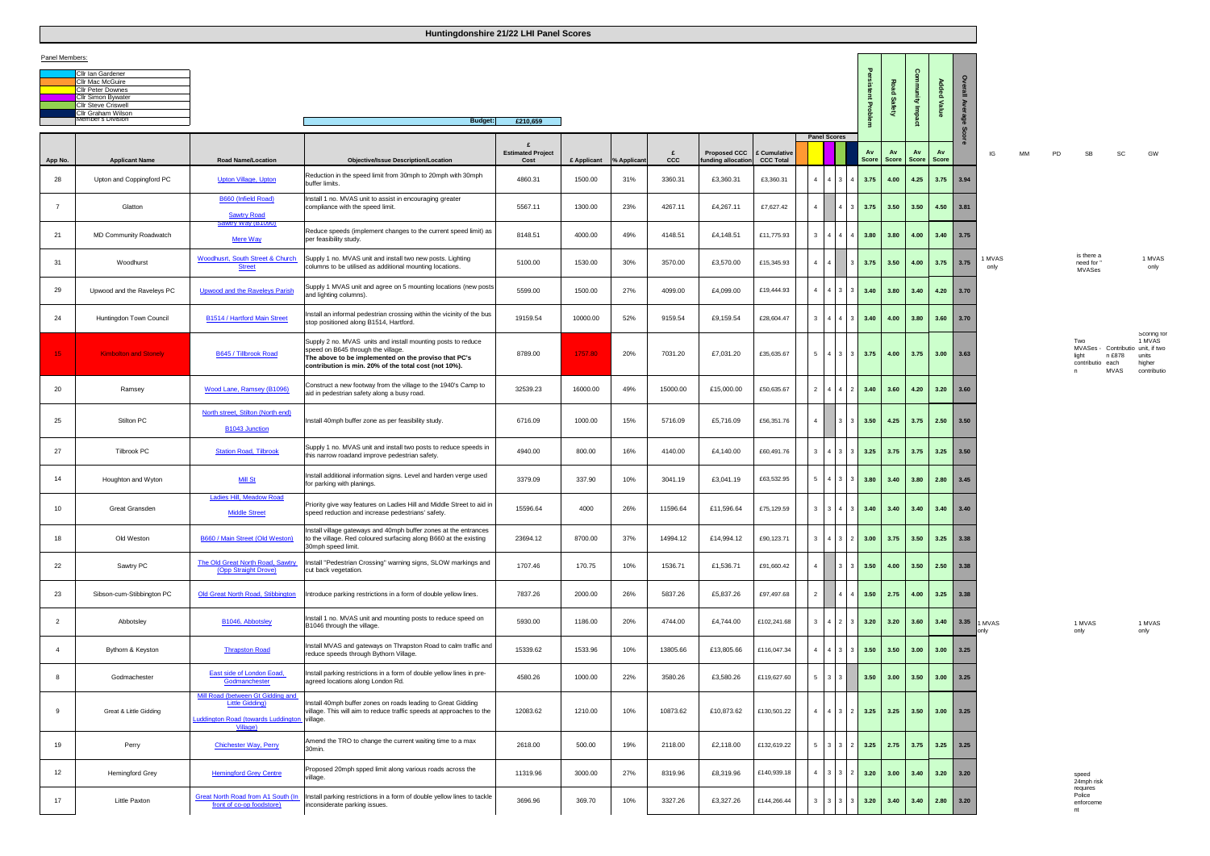| Cllr Ian Gardener          |
|----------------------------|
| <b>Cllr Mac McGuire</b>    |
| <b>Cllr Peter Downes</b>   |
| <b>Cllr Simon Bywater</b>  |
| <b>Cllr Steve Criswell</b> |
| <b>Cllr Graham Wilson</b>  |
| <b>Member's Division</b>   |
|                            |

| IG                 | MM | PD | SB                                        | SC                                                         | GW                                       |
|--------------------|----|----|-------------------------------------------|------------------------------------------------------------|------------------------------------------|
| 1 MVAS<br>only     |    |    | is there a<br>need for "<br><b>MVASes</b> |                                                            | 1 MVAS<br>only                           |
|                    |    |    |                                           |                                                            | Scoring for                              |
|                    |    |    | Two<br>light<br>contributio each<br>n     | MVASes - Contributio unit, if two<br>n £878<br><b>MVAS</b> | 1 MVAS<br>units<br>higher<br>contributio |
|                    |    |    |                                           |                                                            |                                          |
|                    |    |    |                                           |                                                            |                                          |
|                    |    |    |                                           |                                                            |                                          |
| <b>MVAS</b><br>nly |    |    | 1 MVAS<br>only                            |                                                            | 1 MVAS<br>only                           |
|                    |    |    |                                           |                                                            |                                          |
|                    |    |    |                                           |                                                            |                                          |

|                 |                                           |                                                                                                                         | <b>Handingaonomic Engel Enni andi occido</b>                                                                                                                                                                        |                                  |             |             |          |                                           |                                  |                |                               |            |                    |                    |                    |                    |               |                |    |    |                                        |
|-----------------|-------------------------------------------|-------------------------------------------------------------------------------------------------------------------------|---------------------------------------------------------------------------------------------------------------------------------------------------------------------------------------------------------------------|----------------------------------|-------------|-------------|----------|-------------------------------------------|----------------------------------|----------------|-------------------------------|------------|--------------------|--------------------|--------------------|--------------------|---------------|----------------|----|----|----------------------------------------|
| Panel Members:  |                                           |                                                                                                                         |                                                                                                                                                                                                                     |                                  |             |             |          |                                           |                                  |                |                               |            |                    |                    |                    |                    |               |                |    |    |                                        |
|                 | Cllr Ian Gardener                         |                                                                                                                         |                                                                                                                                                                                                                     |                                  |             |             |          |                                           |                                  |                |                               |            |                    |                    |                    |                    |               |                |    |    |                                        |
|                 | Cllr Mac McGuire<br>Cllr Peter Downes     |                                                                                                                         |                                                                                                                                                                                                                     |                                  |             |             |          |                                           |                                  |                |                               |            |                    | Road Safety        |                    | <b>Added Value</b> | verall        |                |    |    |                                        |
|                 | Cllr Simon Bywater<br>Cllr Steve Criswell |                                                                                                                         |                                                                                                                                                                                                                     |                                  |             |             |          |                                           |                                  |                |                               |            |                    |                    |                    |                    |               |                |    |    |                                        |
|                 | Cllr Graham Wilson<br>Member's Division   |                                                                                                                         |                                                                                                                                                                                                                     |                                  |             |             |          |                                           |                                  |                |                               |            | sistent Problem    |                    | nmunity Impact     |                    | Average       |                |    |    |                                        |
|                 |                                           |                                                                                                                         | <b>Budget:</b>                                                                                                                                                                                                      | £210,659                         |             |             |          |                                           |                                  |                |                               |            |                    |                    |                    |                    |               |                |    |    |                                        |
| App No.         | <b>Applicant Name</b>                     | <b>Road Name/Location</b>                                                                                               | <b>Objective/Issue Description/Location</b>                                                                                                                                                                         | <b>Estimated Project</b><br>Cost | £ Applicant | % Applicant | £<br>ccc | <b>Proposed CCC</b><br>funding allocation | £ Cumulative<br><b>CCC Total</b> |                | <b>Panel Scores</b>           |            | Av<br><b>Score</b> | Av<br><b>Score</b> | Av<br><b>Score</b> | Av<br>Score        |               | IG             | MM | PD | SI                                     |
| 28              | Upton and Coppingford PC                  | <b>Upton Village, Upton</b>                                                                                             | Reduction in the speed limit from 30mph to 20mph with 30mph<br>buffer limits.                                                                                                                                       | 4860.31                          | 1500.00     | 31%         | 3360.31  | £3,360.31                                 | £3,360.31                        |                | $4 \t 4 \t 3 \t 4$            |            | 3.75               | 4.00               | 4.25               | 3.75               | 3.94          |                |    |    |                                        |
| $\overline{7}$  | Glatton                                   | B660 (Infield Road)<br><b>Sawtry Road</b>                                                                               | Install 1 no. MVAS unit to assist in encouraging greater<br>compliance with the speed limit.                                                                                                                        | 5567.11                          | 1300.00     | 23%         | 4267.11  | £4,267.11                                 | £7,627.42                        | 4 <sup>1</sup> |                               |            | 3.75               | 3.50               | 3.50               | 4.50               | 3.81          |                |    |    |                                        |
| 21              | MD Community Roadwatch                    | <u>Sawtry Way (B1090)</u><br>Mere Way                                                                                   | Reduce speeds (implement changes to the current speed limit) as<br>per feasibility study.                                                                                                                           | 8148.51                          | 4000.00     | 49%         | 4148.51  | £4,148.51                                 | £11,775.93                       |                | $3 \quad 4 \quad 4 \quad 4$   |            | 3.80               | 3.80               | 4.00               | 3.40               | 3.75          |                |    |    |                                        |
| 31              | Woodhurst                                 | Woodhusrt, South Street & Church<br><b>Street</b>                                                                       | Supply 1 no. MVAS unit and install two new posts. Lighting<br>columns to be utilised as additional mounting locations.                                                                                              | 5100.00                          | 1530.00     | 30%         | 3570.00  | £3,570.00                                 | £15,345.93                       |                | $4 \mid 4$                    |            | 3.75               | 3.50               | 4.00               | 3.75               | 3.75          | 1 MVAS<br>only |    |    | is the<br>need<br><b>MVA</b>           |
| 29              | Upwood and the Raveleys PC                | <b>Upwood and the Raveleys Parish</b>                                                                                   | Supply 1 MVAS unit and agree on 5 mounting locations (new posts<br>and lighting columns).                                                                                                                           | 5599.00                          | 1500.00     | 27%         | 4099.00  | £4,099.00                                 | £19,444.93                       |                | $4 \quad 4 \quad 3 \quad 3$   |            | 3.40               | 3.80               | 3.40               |                    | $4.20$ 3.70   |                |    |    |                                        |
| 24              | Huntingdon Town Council                   | B1514 / Hartford Main Street                                                                                            | Install an informal pedestrian crossing within the vicinity of the bus<br>stop positioned along B1514, Hartford.                                                                                                    | 19159.54                         | 10000.00    | 52%         | 9159.54  | £9,159.54                                 | £28,604.47                       |                | $3 \mid 4 \mid 4 \mid 3$      |            | 3.40               | 4.00               | 3.80               | 3.60               | 3.70          |                |    |    |                                        |
| 15 <sub>1</sub> | <b>Kimbolton and Stonely</b>              | B645 / Tillbrook Road                                                                                                   | Supply 2 no. MVAS units and install mounting posts to reduce<br>speed on B645 through the village.<br>The above to be implemented on the proviso that PC's<br>contribution is min. 20% of the total cost (not 10%). | 8789.00                          | 1757.80     | 20%         | 7031.20  | £7,031.20                                 | £35,635.67                       |                | $5 \quad 4 \quad 3 \quad 3$   |            | 3.75               | 4.00               | 3.75               | 3.00               | 3.63          |                |    |    | Two<br><b>MVAS</b><br>light<br>contrit |
| 20              | Ramsey                                    | Wood Lane, Ramsey (B1096)                                                                                               | Construct a new footway from the village to the 1940's Camp to<br>aid in pedestrian safety along a busy road.                                                                                                       | 32539.23                         | 16000.00    | 49%         | 15000.00 | £15,000.00                                | £50,635.67                       |                | 2 4 4 2                       |            | 3.40               | 3.60               | 4.20               | 3.20               | 3.60          |                |    |    |                                        |
| 25              | Stilton PC                                | North street, Stilton (North end)<br><b>B1043 Junction</b>                                                              | Install 40mph buffer zone as per feasibility study.                                                                                                                                                                 | 6716.09                          | 1000.00     | 15%         | 5716.09  | £5,716.09                                 | £56,351.76                       | 4 <sup>1</sup> |                               |            | 3.50               | 4.25               | 3.75               | 2.50               | 3.50          |                |    |    |                                        |
| 27              | <b>Tilbrook PC</b>                        | <b>Station Road, Tilbrook</b>                                                                                           | Supply 1 no. MVAS unit and install two posts to reduce speeds in<br>this narrow roadand improve pedestrian safety.                                                                                                  | 4940.00                          | 800.00      | 16%         | 4140.00  | £4,140.00                                 | £60,491.76                       |                | $3 \quad 4 \quad 3 \quad 3$   |            | 3.25               | 3.75               | 3.75               | 3.25               | 3.50          |                |    |    |                                        |
| 14              | Houghton and Wyton                        | <b>Mill St</b>                                                                                                          | Install additional information signs. Level and harden verge used<br>for parking with planings.                                                                                                                     | 3379.09                          | 337.90      | 10%         | 3041.19  | £3,041.19                                 | £63,532.95                       |                | 5 4 3 3                       |            | 3.80               | 3.40               | 3.80               |                    | $2.80$ 3.45   |                |    |    |                                        |
| 10              | Great Gransden                            | Ladies Hill, Meadow Road<br><b>Middle Street</b>                                                                        | Priority give way features on Ladies Hill and Middle Street to aid in<br>speed reduction and increase pedestrians' safety.                                                                                          | 15596.64                         | 4000        | 26%         | 11596.64 | £11,596.64                                | £75,129.59                       |                | $3 \mid 3 \mid 4 \mid 3 \mid$ |            | 3.40               | 3.40               | 3.40               | 3.40               | 3.40          |                |    |    |                                        |
| 18              | Old Weston                                | B660 / Main Street (Old Weston)                                                                                         | Install village gateways and 40mph buffer zones at the entrances<br>to the village. Red coloured surfacing along B660 at the existing<br>30mph speed limit.                                                         | 23694.12                         | 8700.00     | 37%         | 14994.12 | £14,994.12                                | £90,123.71                       |                | $3 \quad 4 \quad 3 \quad 2$   |            | 3.00               | 3.75               | 3.50               | 3.25               | 3.38          |                |    |    |                                        |
| 22              | Sawtry PC                                 | The Old Great North Road, Sawtry<br>(Opp Straight Drove)                                                                | Install "Pedestrian Crossing" warning signs, SLOW markings and<br>cut back vegetation.                                                                                                                              | 1707.46                          | 170.75      | 10%         | 1536.71  | £1,536.71                                 | £91,660.42                       | $4\phantom{0}$ |                               | $3 \mid 3$ | 3.50               | 4.00               | 3.50               | 2.50               | 3.38          |                |    |    |                                        |
| 23              | Sibson-cum-Stibbington PC                 | Old Great North Road, Stibbington                                                                                       | Introduce parking restrictions in a form of double yellow lines.                                                                                                                                                    | 7837.26                          | 2000.00     | 26%         | 5837.26  | £5,837.26                                 | £97,497.68                       | 2 <sub>0</sub> |                               |            | 3.50               | 2.75               | 4.00               | 3.25               | 3.38          |                |    |    |                                        |
| $\overline{2}$  | Abbotsley                                 | B1046, Abbotsley                                                                                                        | Install 1 no. MVAS unit and mounting posts to reduce speed on<br>B1046 through the village.                                                                                                                         | 5930.00                          | 1186.00     | 20%         | 4744.00  | £4,744.00                                 | £102,241.68                      |                | $3 \mid 4 \mid$               |            | 3.20               | 3.20               | 3.60               | 3.40               | 3.35          | 1 MVAS<br>only |    |    | $1$ MV $\overline{4}$<br>only          |
| $\overline{4}$  | Bythorn & Keyston                         | <b>Thrapston Road</b>                                                                                                   | Install MVAS and gateways on Thrapston Road to calm traffic and<br>reduce speeds through Bythorn Village.                                                                                                           | 15339.62                         | 1533.96     | 10%         | 13805.66 | £13,805.66                                | £116,047.34                      |                | $4 \mid 4 \mid 3 \mid 3$      |            | 3.50               | 3.50               | 3.00               | 3.00               | 3.25          |                |    |    |                                        |
| -8              | Godmachester                              | <b>East side of London Eoad,</b><br>Godmanchester                                                                       | Install parking restrictions in a form of double yellow lines in pre-<br>agreed locations along London Rd.                                                                                                          | 4580.26                          | 1000.00     | 22%         | 3580.26  | £3,580.26                                 | £119,627.60                      |                | $5 \mid 3 \mid 3$             |            | 3.50               | 3.00               | 3.50               | 3.00               | 3.25          |                |    |    |                                        |
| -9              | Great & Little Gidding                    | Mill Road (between Gt Gidding and<br><b>Little Gidding)</b><br>Luddington Road (towards Luddington village.<br>Village) | Install 40mph buffer zones on roads leading to Great Gidding<br>village. This will aim to reduce traffic speeds at approaches to the                                                                                | 12083.62                         | 1210.00     | 10%         | 10873.62 | £10,873.62                                | £130,501.22                      |                | 4 4 3 2                       |            | 3.25               | 3.25               | 3.50               |                    | $3.00$ $3.25$ |                |    |    |                                        |
| 19              | Perry                                     | <b>Chichester Way, Perry</b>                                                                                            | Amend the TRO to change the current waiting time to a max<br>30min.                                                                                                                                                 | 2618.00                          | 500.00      | 19%         | 2118.00  | £2,118.00                                 | £132,619.22                      |                | $5 \quad 3 \quad 3 \quad 2$   |            | 3.25               | 2.75               | 3.75               | 3.25               | 3.25          |                |    |    |                                        |
| 12              | <b>Hemingford Grey</b>                    | <b>Hemingford Grey Centre</b>                                                                                           | Proposed 20mph spped limit along various roads across the<br>village.                                                                                                                                               | 11319.96                         | 3000.00     | 27%         | 8319.96  | £8,319.96                                 | £140,939.18                      |                | $4 \quad 3 \quad 3 \quad 2$   |            | 3.20               | 3.00               | 3.40               | 3.20               | 3.20          |                |    |    | speed<br>24mph<br>require              |
| 17              | Little Paxton                             | Great North Road from A1 South (In<br>front of co-op foodstore)                                                         | Install parking restrictions in a form of double yellow lines to tackle<br>nconsiderate parking issues.                                                                                                             | 3696.96                          | 369.70      | 10%         | 3327.26  | £3,327.26                                 | £144,266.44                      |                | $3 \quad 3 \quad 3 \quad 3$   |            | 3.20               | 3.40               | 3.40               | 2.80               | 3.20          |                |    |    | Police<br>enforc<br>nt                 |

24mph risk requires Police enforceme nt

**Huntingdonshire 21/22 LHI Panel Scores**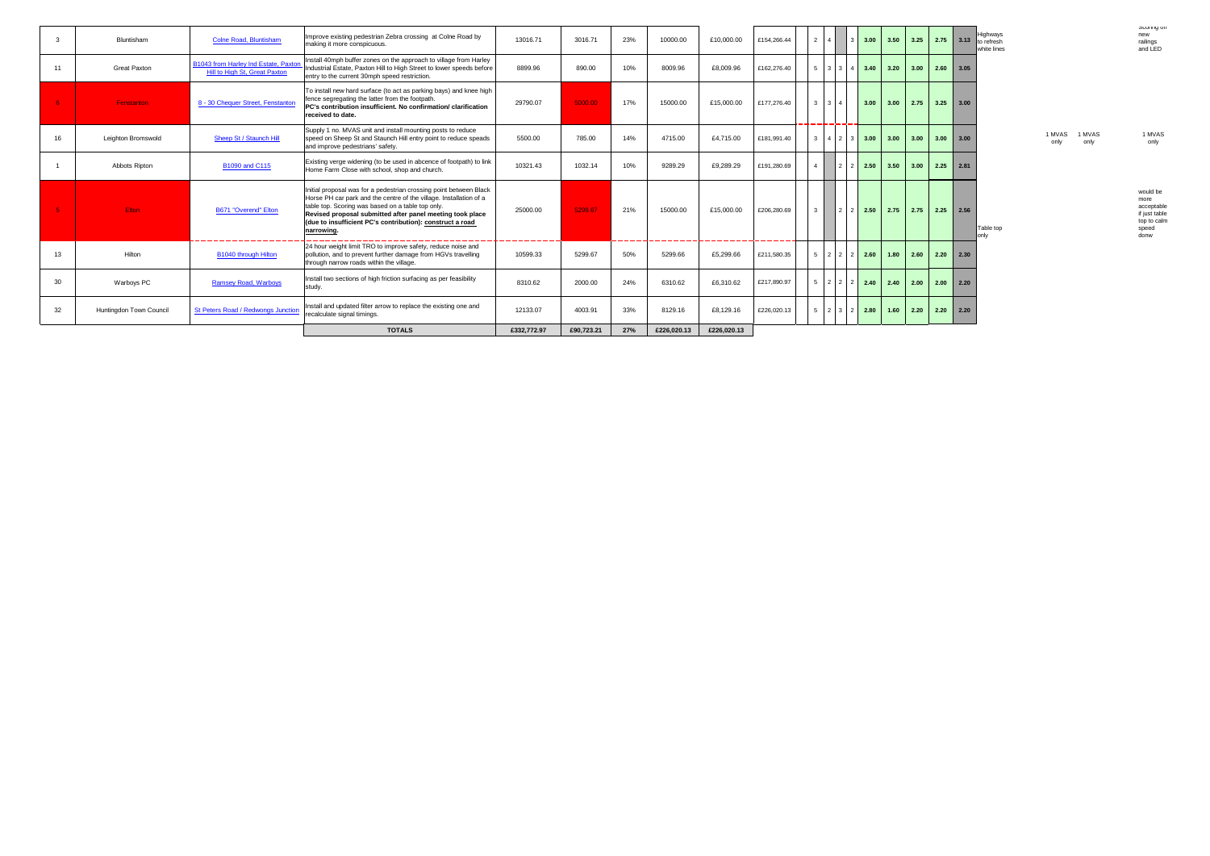|    | Bluntisham              | <b>Colne Road, Bluntisham</b>                                                | Improve existing pedestrian Zebra crossing at Colne Road by<br>making it more conspicuous.                                                                                                                                                                                                                                            | 13016.71    | 3016.71    | 23% | 10000.00    | £10,000.00  | £154,266.44 | $\overline{2}$         |                       | 3.00                  | 3.50 | 3.25 | 2.75         |                                                   | Highways<br>$3.13$ to refresh<br>white lines |                |                | Scoring on<br>new<br>railings<br>and LED                                        |
|----|-------------------------|------------------------------------------------------------------------------|---------------------------------------------------------------------------------------------------------------------------------------------------------------------------------------------------------------------------------------------------------------------------------------------------------------------------------------|-------------|------------|-----|-------------|-------------|-------------|------------------------|-----------------------|-----------------------|------|------|--------------|---------------------------------------------------|----------------------------------------------|----------------|----------------|---------------------------------------------------------------------------------|
| 11 | <b>Great Paxton</b>     | B1043 from Harley Ind Estate, Paxton<br><b>Hill to High St, Great Paxton</b> | Install 40mph buffer zones on the approach to village from Harley<br>Industrial Estate, Paxton Hill to High Street to lower speeds before<br>entry to the current 30mph speed restriction.                                                                                                                                            | 8899.96     | 890.00     | 10% | 8009.96     | £8.009.96   | £162,276.40 | 5                      | $3 \times 3 \times 4$ | 3.40                  | 3.20 | 3.00 |              | $2.60$ 3.05                                       |                                              |                |                |                                                                                 |
|    | Fenstanton              | 8 - 30 Chequer Street, Fenstanton                                            | To install new hard surface (to act as parking bays) and knee high<br>fence segregating the latter from the footpath.<br>PC's contribution insufficient. No confirmation/ clarification<br>received to date.                                                                                                                          | 29790.07    | 5000.00    | 17% | 15000.00    | £15,000.00  | £177,276.40 | $\mathbf{R}$           | $3 \mid 4$            | 3.00                  | 3.00 | 2.75 |              | $3.25$ 3.00                                       |                                              |                |                |                                                                                 |
| 16 | Leighton Bromswold      | Sheep St / Staunch Hill                                                      | Supply 1 no. MVAS unit and install mounting posts to reduce<br>speed on Sheep St and Staunch Hill entry point to reduce speads<br>and improve pedestrians' safety.                                                                                                                                                                    | 5500.00     | 785.00     | 14% | 4715.00     | £4,715.00   | £181,991.40 | - 3                    |                       | $4 \t 2 \t 3 \t 3.00$ | 3.00 | 3.00 | 3.00         | 13.00                                             |                                              | 1 MVAS<br>only | 1 MVAS<br>only | 1 MVAS<br>only                                                                  |
|    | Abbots Ripton           | <b>B1090 and C115</b>                                                        | Existing verge widening (to be used in abcence of footpath) to link<br>Home Farm Close with school, shop and church.                                                                                                                                                                                                                  | 10321.43    | 1032.14    | 10% | 9289.29     | £9,289.29   | £191,280.69 | $\boldsymbol{\Lambda}$ | 212                   | $2.50$                | 3.50 | 3.00 | $2.25$ 2.81  |                                                   |                                              |                |                |                                                                                 |
|    | <b>Elton</b>            | <b>B671 "Overend" Elton</b>                                                  | Initial proposal was for a pedestrian crossing point between Black<br>Horse PH car park and the centre of the village. Installation of a<br>table top. Scoring was based on a table top only.<br>Revised proposal submitted after panel meeting took place<br>(due to insufficient PC's contribution): construct a road<br>narrowing. | 25000.00    | 5299.67    | 21% | 15000.00    | £15,000.00  | £206,280.69 | 3 <sup>1</sup>         |                       | $2 \t2 \t2.50$        | 2.75 | 2.75 | 2.25         | $\vert$ 2.56                                      | Table top<br>lonly                           |                |                | would be<br>more<br>acceptable<br>if just table<br>top to calm<br>speed<br>donw |
| 13 | Hilton                  | <b>B1040 through Hilton</b>                                                  | 24 hour weight limit TRO to improve safety, reduce noise and<br>pollution, and to prevent further damage from HGVs travelling<br>through narrow roads within the village.                                                                                                                                                             | 10599.33    | 5299.67    | 50% | 5299.66     | £5,299.66   | £211,580.35 | -5                     | 22<br>$\overline{2}$  | 2.60                  | 1.80 | 2.60 | $2.20$ 2.30  |                                                   |                                              |                |                |                                                                                 |
| 30 | Warboys PC              | <b>Ramsey Road, Warboys</b>                                                  | Install two sections of high friction surfacing as per feasibility<br>study.                                                                                                                                                                                                                                                          | 8310.62     | 2000.00    | 24% | 6310.62     | £6,310.62   | £217,890.97 | - 5                    |                       | 2 2 2 2 2.40          | 2.40 | 2.00 | $\vert$ 2.00 | $\vert$ 2.20                                      |                                              |                |                |                                                                                 |
| 32 | Huntingdon Town Council | St Peters Road / Redwongs Junction                                           | Install and updated filter arrow to replace the existing one and<br>recalculate signal timings.                                                                                                                                                                                                                                       | 12133.07    | 4003.91    | 33% | 8129.16     | £8,129.16   | £226,020.13 | - 5                    | $2 \times 3$<br>l 2   | $2.80$                | 1.60 | 2.20 | 2.20         | $\begin{array}{ c c }\n\hline\n2.20\n\end{array}$ |                                              |                |                |                                                                                 |
|    |                         |                                                                              | <b>TOTALS</b>                                                                                                                                                                                                                                                                                                                         | £332.772.97 | £90,723.21 | 27% | £226,020.13 | £226,020.13 |             |                        |                       |                       |      |      |              |                                                   |                                              |                |                |                                                                                 |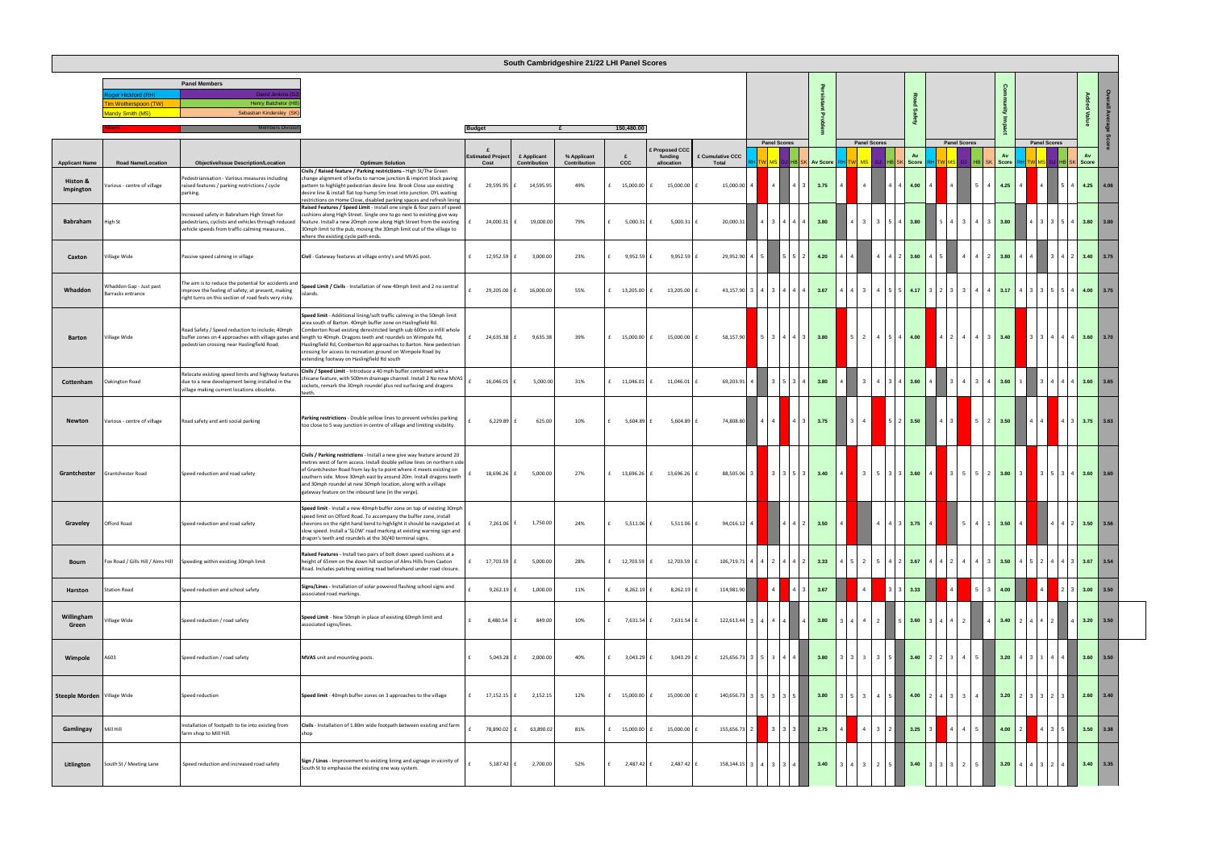|                             |                                                            |                                                                                                                                                                    |                                                                                                                                                                                                                                                                                                                                                                                                                                                              |                                 |             |                             | South Cambridgeshire 21/22 LHI Panel Scores |   |                |                                              |                           |                         |                     |                                     |          |                 |                     |                                    |                    |                |                                     |                          |                |                    |                                 |                                                     |      |
|-----------------------------|------------------------------------------------------------|--------------------------------------------------------------------------------------------------------------------------------------------------------------------|--------------------------------------------------------------------------------------------------------------------------------------------------------------------------------------------------------------------------------------------------------------------------------------------------------------------------------------------------------------------------------------------------------------------------------------------------------------|---------------------------------|-------------|-----------------------------|---------------------------------------------|---|----------------|----------------------------------------------|---------------------------|-------------------------|---------------------|-------------------------------------|----------|-----------------|---------------------|------------------------------------|--------------------|----------------|-------------------------------------|--------------------------|----------------|--------------------|---------------------------------|-----------------------------------------------------|------|
|                             | ger Hickford (RH)<br>m Wotherspoon (TW)<br>andy Smith (MS) | <b>Panel Members</b><br>David Jenkins (I<br>Henry Batchelor (HI<br>Sebastian Kindersley (SK<br>Members Divisio                                                     |                                                                                                                                                                                                                                                                                                                                                                                                                                                              | <b>Budget</b>                   |             |                             | £                                           |   | 150,480.00     |                                              |                           |                         |                     |                                     |          |                 |                     |                                    |                    |                |                                     |                          |                |                    |                                 |                                                     |      |
| <b>Applicant Name</b>       | <b>Road Name/Location</b>                                  | <b>Objective/Issue Description/Location</b>                                                                                                                        | <b>Optimum Solution</b>                                                                                                                                                                                                                                                                                                                                                                                                                                      | <b>Estimated Projec</b><br>Cost |             | £ Applicant<br>Contribution | % Applicant<br>Contribution                 |   | £<br>ccc       | <b>Proposed CCC</b><br>funding<br>allocation | £ Cumulative CCC<br>Total |                         | <b>Panel Scores</b> |                                     | Av Score |                 | <b>Panel Scores</b> |                                    | Av<br><b>Score</b> |                |                                     | <b>Panel Scores</b>      |                | Av<br><b>Score</b> | <b>Panel Scores</b>             | Av<br>Score                                         |      |
| Histon &<br>Impington       | Various - centre of village                                | Pedestrianisation - Various measures including<br>raised features / parking restrictions / cycle<br>parking.                                                       | Civils / Raised feature / Parking restrictions - High St/The Green<br>hange alignment of kerbs to narrow junction & imprint block paving<br>pattern to highlight pedestrian desire line. Brook Close use existing<br>desire line & install flat top hump 5m inset into junction. DYL waiting<br>restrictions on Home Close, disabled parking spaces and refresh lining                                                                                       |                                 | 29,595.95 £ | 14,595.95                   | 49%                                         |   | 15,000.00 £    | 15,000.00                                    |                           | 15,000.00 4             | $\overline{4}$      |                                     | 3.75     |                 | $\Delta$            | $\overline{a}$                     | 4.00               |                |                                     |                          |                | 4.25               |                                 | 4.25                                                | 4.06 |
| Babraham                    | High St                                                    | Increased safety in Babraham High Street for<br>pedestrians, cyclists and vehicles through reduced<br>vehicle speeds from traffic-calming measures.                | Raised Features / Speed Limit - Install one single & four pairs of speed<br>ushions along High Street. Single one to go next to existing give way<br>feature. Install a new 20mph zone along High Street from the existing<br>30mph limit to the pub, moving the 30mph limit out of the village to<br>where the existing cycle path ends.                                                                                                                    |                                 | 24,000.31 £ | 19,000.00                   | 79%                                         |   | 5,000.31 £     | 5,000.31                                     |                           | 20,000.31               |                     | $4 \quad 3 \quad 4 \quad 4 \quad 4$ | 3.80     |                 | 3 I                 | $3 \t 5 \t 4 \t 3.80$              |                    |                | $\vert$ 5                           | $\overline{3}$           |                | 3.80               |                                 | 4 3 3 5 4 3 80 3.80                                 |      |
| Caxton                      | Village Wide                                               | Passive speed calming in village                                                                                                                                   | Civil - Gateway features at village entry's and MVAS post.                                                                                                                                                                                                                                                                                                                                                                                                   |                                 | 12,952.59   | 3,000.00<br>£               | 23%                                         |   | 9,952.59 £     | 9,952.59                                     |                           | 29,952.90 4             |                     |                                     | 4.20     | 4 I 4           |                     | $4 \mid 4$                         | 3.60               | 4 I 5          |                                     | $\overline{4}$           |                | 3.80               | $3^{\circ}$                     | 3.40                                                | 3.75 |
| Whaddon                     | Whaddon Gap - Just past<br>Barracks entrance               | The aim is to reduce the potential for accidents and<br>improve the feeling of safety; at present, making<br>right turns on this section of road feels very risky. | Speed Limit / Civils - Installation of new 40mph limit and 2 no central<br>slands.                                                                                                                                                                                                                                                                                                                                                                           |                                 | 29,205.00   | 16,000.00                   | 55%                                         |   | 13,205.00 £    | 13,205.00                                    |                           |                         |                     | $43,157.90$ 3 4 3 4 4 4             | 3.67     | $4 \t4$         |                     | $3 \mid 4 \mid 5 \mid 5 \mid 4.17$ |                    |                | $3 \quad 2 \quad 3 \quad 3 \quad 4$ |                          |                | 3.17               |                                 | $4$ 3 3 5 5 4 4.00 3.75                             |      |
| <b>Barton</b>               | Village Wide                                               | Road Safety / Speed reduction to include; 40mph<br>buffer zones on 4 approaches with village gates and<br>pedestrian crossing near Haslingfield Road.              | Speed limit - Additional lining/soft traffic calming in the 50mph limit<br>area south of Barton. 40mph buffer zone on Haslingfield Rd.<br>omberton Road existing derestricted length sub 600m so infill whole<br>ength to 40mph. Dragons teeth and roundels on Wimpole Rd,<br>Haslingfield Rd, Comberton Rd approaches to Barton. New pedestrian<br>rossing for access to recreation ground on Wimpole Road by<br>extending footway on Haslingfield Rd south | $24,635.38$ £                   |             | 9,635.38                    | 39%                                         |   | 15,000.00 £    | 15,000.00                                    |                           | 58,157.90               |                     | $5 \mid 3 \mid 4 \mid 4 \mid 3$     | 3.80     |                 |                     | $5 \t2 \t4 \t5 \t4 \t4.00$         |                    |                | 4 2 4 4 3 3.40                      |                          |                |                    |                                 | $3 \mid 3 \mid 4 \mid 4 \mid 4 \mid 3.60 \mid 3.70$ |      |
| Cottenham                   | Oakington Road                                             | Relocate existing speed limits and highway features<br>due to a new development being installed in the<br>village making current locations obsolete.               | Civils / Speed Limit - Introduce a 40 mph buffer combined with a<br>hicane feature, with 500mm drainage channel. Install 2 No new MVAS<br>sockets, remark the 30mph roundel plus red surfacing and dragons<br>eeth.                                                                                                                                                                                                                                          |                                 | 16,046.01   | 5,000.00<br>f               | 31%                                         |   | £ 11,046.01  E | 11,046.01                                    |                           | 69,203.91               | 3 <sub>5</sub>      |                                     | 3.80     |                 | 3                   | 4 3 4 3.60                         |                    |                |                                     | $\vert$ 4                |                | 3.60               | $3 \mid 4 \mid 4$               | $4 \mid 3.60 \mid 3.65$                             |      |
| Newton                      | Various - centre of village                                | Road safety and anti social parking                                                                                                                                | Parking restrictions - Double yellow lines to prevent vehicles parking<br>too close to 5 way junction in centre of village and limiting visibility.                                                                                                                                                                                                                                                                                                          |                                 | 6,229.89 £  | 625.00                      | 10%                                         |   | 5,604.89 £     | 5,604.89                                     |                           | 74,808.80               | $4 \mid 4$          | $4 \mid 3$                          | 3.75     |                 | 4                   |                                    | $5 \t2 \t3.50$     |                | 4 3                                 | $\overline{5}$           |                | 3.50               | $4 \mid 4 \mid$                 | $3 \mid 3.75 \mid 3.63$                             |      |
| Grantchester                | Grantchester Road                                          | Speed reduction and road safety                                                                                                                                    | Civils / Parking restrictions - Install a new give way feature around 20<br>metres west of farm access. Install double yellow lines on northern side<br>of Grantchester Road from lay-by to point where it meets existing on<br>southern side. Move 30mph east by around 20m. Install dragons teeth<br>and 30mph roundel at new 30mph location, along with a village<br>gateway feature on the inbound lane (in the verge).                                  |                                 | 18,696.26 £ | 5,000.00                    | 27%                                         | £ | 13,696.26 £    | 13,696.26                                    |                           | 88,505.06 3             |                     | $3 \mid 3 \mid 5 \mid 3 \mid$       | 3.40     | $4 \mid$        |                     | $3 \mid 5 \mid 3 \mid 3 \mid 3.60$ |                    | $4 \mid$       |                                     |                          |                | 3 5 5 2 3.80 3     |                                 | 3 5 3 4 3.60 3.60                                   |      |
| Graveley                    | Offord Road                                                | Speed reduction and road safety                                                                                                                                    | Speed limit - Install a new 40mph buffer zone on top of existing 30mph<br>speed limit on Offord Road. To accompany the buffer zone, install<br>chevrons on the right hand bend to highlight it should be navigated at<br>slow speed. Install a 'SLOW' road marking at existing warning sign and<br>dragon's teeth and roundels at the 30/40 terminal signs.                                                                                                  |                                 | 7,261.06 £  | 1,750.00                    | 24%                                         |   | 5,511.06 £     | $5,511.06 \text{ } \text{f}$                 |                           | 94,016.12 4             |                     | $4 \mid 4 \mid 2 \mid$              | 3.50     | 4 <sup>1</sup>  |                     | $4 \t 4 \t 3 \t 3.75$              |                    | 4 <sup>1</sup> |                                     | - 5<br>$\overline{a}$    |                | $3.50$ 4           |                                 | $4 \mid 4 \mid 2 \mid 3.50 \mid 3.56$               |      |
| Bourn                       |                                                            | Fox Road / Gills Hill / Alms Hill Speeding within existing 30mph limit                                                                                             | Raised Features - Install two pairs of bolt down speed cushions at a<br>height of 65mm on the down hill section of Alms Hills from Caxton<br>Road. Includes patching existing road beforehand under road closure.                                                                                                                                                                                                                                            |                                 | 17,703.59 £ | 5,000.00                    | 28%                                         |   | 12,703.59 £    | 12,703.59                                    |                           | 106,719.71 4            | $4 \mid 2 \mid 4$   |                                     | 3.33     | 45              | 2 <sup>1</sup>      | 5   4                              | $2 \mid 3.67 \mid$ | $4 \quad 4$    | $2 \mid 4$                          |                          |                | 3.50               | $4 \mid 5 \mid 2 \mid 4 \mid 4$ | $3.67$ 3.54                                         |      |
| Harston                     | Station Road                                               | Speed reduction and school safety                                                                                                                                  | Signs/Lines - Installation of solar powered flashing school signs and<br>associated road markings.                                                                                                                                                                                                                                                                                                                                                           |                                 | 9,262.19    | 1,000.00                    | 11%                                         |   | 8,262.19       | 8,262.19                                     | 114,981.90                |                         |                     | $4^{\circ}$                         | 3.67     |                 | 4                   |                                    | 3.33               |                |                                     |                          |                | 4.00               |                                 | $3.00$ $3.50$                                       |      |
| Willingham<br>Green         | Village Wide                                               | Speed reduction / road safety                                                                                                                                      | Speed Limit - New 50mph in place of existing 60mph limit and<br>associated signs/lines.                                                                                                                                                                                                                                                                                                                                                                      |                                 | 8,480.54    | 849.00                      | 10%                                         |   | 7,631.54 £     | 7,631.54                                     |                           | $122,613.44$ 3 4 4 4    |                     |                                     | 3.80     | $3 \mid 4 \mid$ |                     | $4 \mid 2 \mid$                    | $5 \, 3.60$        |                | $3 \mid 4 \mid$                     | 4 2 1                    | $\overline{4}$ | 3.40               | $24442$                         | 4 3.20 3.50                                         |      |
| Wimpole                     | A603                                                       | Speed reduction / road safety                                                                                                                                      | MVAS unit and mounting posts.                                                                                                                                                                                                                                                                                                                                                                                                                                |                                 | 5,043.28 £  | 2,000.00                    | 40%                                         |   | 3,043.29 £     | 3,043.29                                     |                           | $125,656.73$ 3 5 3 4 4  |                     |                                     | 3.80     | $3 \mid 3 \mid$ |                     | $3 \mid 3 \mid 5$                  | 3.40               |                | $2 \mid 2 \mid$                     | $3 \mid 4$               |                | 3.20               | $4$   3   3   4   4             | $3.60$ $3.50$                                       |      |
| Steeple Morden Village Wide |                                                            | Speed reduction                                                                                                                                                    | Speed limit - 40mph buffer zones on 3 approaches to the village                                                                                                                                                                                                                                                                                                                                                                                              |                                 | 17,152.15 £ | 2,152.15                    | 12%                                         |   | 15,000.00 £    | 15,000.00                                    |                           | 140,656.73 3            | 5 3 3               |                                     | 3.80     | $3 \mid 5$      | 3                   | 4 <sup>1</sup>                     | 4.00               | $2 \mid 4$     |                                     | $\overline{\phantom{a}}$ |                | 3.20               | $2 \mid 3 \mid 3 \mid 2 \mid$   | $2.60$ 3.40                                         |      |
| Gamlingay                   | Mill Hill                                                  | Installation of footpath to tie into existing from<br>farm shop to Mill Hill.                                                                                      | Civils - Installation of 1.80m wide footpath between existing and farm<br>shop                                                                                                                                                                                                                                                                                                                                                                               |                                 | 78,890.02   | 63,890.02                   | 81%                                         |   | 15,000.00 £    | 15,000.00                                    |                           | 155,656.73 2            | $3 \mid 3$          |                                     | 2.75     |                 |                     | $3 \mid 2$                         | 3.25               |                |                                     |                          |                | 4.00               |                                 | 3.50 3.38                                           |      |
| Litlington                  | South St / Meeting Lane                                    | Speed reduction and increased road safety                                                                                                                          | Sign / Lines - Improvement to existing lining and signage in vicinity of<br>South St to emphasise the existing one way system.                                                                                                                                                                                                                                                                                                                               |                                 | 5,187.42 £  | 2,700.00                    | 52%                                         |   | 2,487.42 £     | 2,487.42 £                                   |                           | $158, 144.15$ 3 4 3 3 4 |                     |                                     | 3.40     | $3 \mid 4 \mid$ |                     | $3 \mid 2 \mid 5 \mid$             | 3.40               |                | $3 \mid 3 \mid 3 \mid 2$            |                          |                | 3.20               | 4 4 3 2 4                       | 3.40 3.35                                           |      |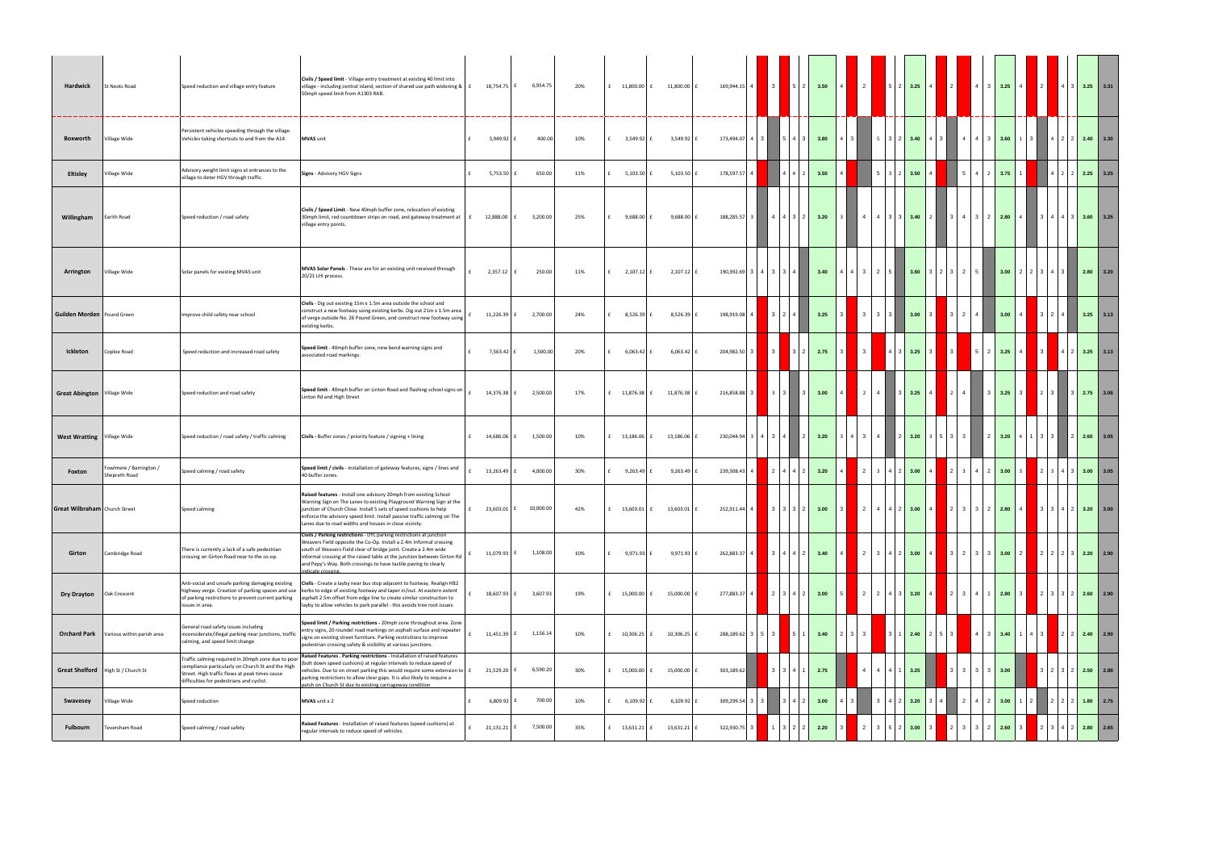| Hardwick                           | St Neots Road                           | Speed reduction and village entry feature<br>-----------------------------                                                                                                                             | Civils / Speed limit - Village entry treatment at existing 40 limit into<br>village - including central island, section of shared use path widening &<br>50mph speed limit from A1303 RAB.                                                                                                                                                                                      | 18,754.75 £<br>---------- | 6,954.75<br>-------   | 20%<br>_______ | £ 11,800.00 £     |                                | 11,800.00 £          | 169,944.15 4           | 3                       |                             | $5 \mid 2$                    | 3.50 |     | $\overline{2}$          |                 | 3.25                                           |                   |                               |                             | 3.25                                                               |                |                        | $\blacksquare$ 2 | $4 \mid 3 \mid 3.25 \mid 3.31$               |               |  |
|------------------------------------|-----------------------------------------|--------------------------------------------------------------------------------------------------------------------------------------------------------------------------------------------------------|---------------------------------------------------------------------------------------------------------------------------------------------------------------------------------------------------------------------------------------------------------------------------------------------------------------------------------------------------------------------------------|---------------------------|-----------------------|----------------|-------------------|--------------------------------|----------------------|------------------------|-------------------------|-----------------------------|-------------------------------|------|-----|-------------------------|-----------------|------------------------------------------------|-------------------|-------------------------------|-----------------------------|--------------------------------------------------------------------|----------------|------------------------|------------------|----------------------------------------------|---------------|--|
| Boxworth                           | √illage Wide                            | Persistent vehicles speeding through the village.<br>Vehicles taking shortcuts to and from the A14.                                                                                                    | <b>MVAS unit</b>                                                                                                                                                                                                                                                                                                                                                                | 3,949.92 £                | 400.00                | 10%            | E                 | 3,549.92 £                     | 3,549.92 £           | 173,494.07 4 3         |                         |                             | $5 \mid 4 \mid 3$             | 3.80 |     |                         |                 | $5 \mid 3 \mid 2 \mid 3.40 \mid 4 \mid 3 \mid$ |                   |                               | 4 4 3 3 3.60                |                                                                    |                | $1 \mid 3 \mid$        |                  | $4$ 2 2 2 2.40 3.30                          |               |  |
| Eltisley                           | Village Wide                            | Advisory weight limit signs at entrances to the<br>village to deter HGV through traffic.                                                                                                               | Signs - Advisory HGV Signs                                                                                                                                                                                                                                                                                                                                                      | 5,753.50                  | 650.00                | 11%            |                   | $5,103.50$ £                   | 5,103.50             | 178,597.57             |                         |                             |                               | 3.50 |     |                         | 5 <sup>1</sup>  | 3.50                                           |                   |                               | $5^{\circ}$                 |                                                                    | 3.75           |                        |                  |                                              | $2.25$ 3.25   |  |
| Willingham                         | Earith Road                             | Speed reduction / road safety                                                                                                                                                                          | Civils / Speed Limit - New 40mph buffer zone, relocation of existing<br>30mph limit, red countdown strips on road, and gateway treatment at<br>village entry points.                                                                                                                                                                                                            | 12,888.00 £<br>I£.        | 3,200.00              | 25%            | Ι£                | 9,688.00 £                     | 9,688.00             | 188,285.57 3           |                         |                             | 4   4   3   2                 | 3.20 |     | 4                       |                 | $4 \mid 3 \mid 3 \mid 3.40 \mid 2 \mid 3$      |                   |                               | 4 3 2 2.80                  |                                                                    |                | $4 \mid$               |                  | 3 4 4 3 3.60 3.25                            |               |  |
| Arrington                          | Village Wide                            | Solar panels for existing MVAS unit                                                                                                                                                                    | MVAS Solar Panels - These are for an existing unit received through<br>20/21 LHI process.                                                                                                                                                                                                                                                                                       | 2,357.12 £                | 250.00                | 11%            | E                 | 2,107.12 £                     |                      | $190,392.69$ 3 4 3 3 4 |                         |                             |                               | 3.40 | 414 | 3 <sup>1</sup>          | $2 \mid 5 \mid$ | 3.60                                           |                   | $3 \mid 2 \mid 3 \mid 2 \mid$ | 5                           |                                                                    | 3.00           | $2$   2   3   4   3    |                  |                                              | 2.80 3.20     |  |
| Guilden Morden Pound Green         |                                         | Improve child safety near school                                                                                                                                                                       | Civils - Dig out existing 15m x 1.5m area outside the school and<br>construct a new footway using existing kerbs. Dig out 21m x 1.5m area<br>of verge outside No. 26 Pound Green, and construct new footway using<br>existing kerbs.                                                                                                                                            | 11,226.39 £               | 2,700.00              | 24%            | Ι£                | 8,526.39 £                     | 8,526.39             | 198,919.08 4           | $\overline{\mathbf{3}}$ |                             |                               | 3.25 |     | 3                       | 3               | 3.00                                           |                   | $\vert$ 3                     | $\overline{2}$              |                                                                    | 3.00           |                        | $3 \mid 2$       |                                              | $3.25$ $3.13$ |  |
| Ickleton                           | Coploe Road                             | Speed reduction and increased road safety                                                                                                                                                              | Speed limit - 40mph buffer zone, new bend warning signs and<br>associated road markings.                                                                                                                                                                                                                                                                                        | 7,563.42 £                | 1,500.00              | 20%            | Ι£                | $6,063.42 \text{ } \text{ }$ £ | $6,063.42 \text{ f}$ | 204,982.50 3           | $\overline{\mathbf{3}}$ |                             | $3 \mid 2$                    | 2.75 |     | $\overline{\mathbf{3}}$ | 4 3             | 3.25                                           | $\mathsf{I}$ 3    | $\vert$ 3                     |                             | $5 \t2 \t3.25$                                                     | 4              |                        | 3 <sup>1</sup>   | $4 \quad 2 \quad 3.25 \quad 3.13$            |               |  |
| Great Abington Village Wide        |                                         | Speed reduction and road safety                                                                                                                                                                        | Speed limit - 40mph buffer on Linton Road and flashing school signs on<br>Linton Rd and High Street                                                                                                                                                                                                                                                                             | f<br>14,376.38 £          | 2,500.00              | 17%            | f 11,876.38 f     |                                | 11,876.38 £          | 216,858.88 3           |                         | $3 \mid 3 \mid$             |                               | 3.00 |     | $\overline{2}$          | $\overline{4}$  | 3.25                                           |                   | $\overline{2}$                | $\overline{4}$              | $3 \mid 3.25$                                                      |                |                        | 23               |                                              | $3$ 2.75 3.06 |  |
| <b>West Wratting</b> Village Wide  |                                         | Speed reduction / road safety / traffic calming                                                                                                                                                        | Civils - Buffer zones / priority feature / signing + lining                                                                                                                                                                                                                                                                                                                     | 14,686.06 £<br>f          | 1,500.00              | 10%            | f 13,186.06 f     |                                | 13,186.06 £          | 230,044.94 3 4 3 4     |                         |                             | $\blacksquare$                | 3.20 | 314 | $\overline{\mathbf{3}}$ | 4               | 3.20                                           | $3 \mid 5 \mid 3$ |                               | $\mathbf{3}$                | $\begin{array}{ c c c c c } \hline 2 & 3.20 \\ \hline \end{array}$ |                | 4 1 3 3 1              |                  |                                              | 2 2.60 3.05   |  |
| Foxton                             | owlmere / Barrington /<br>Shepreth Road | Speed calming / road safety                                                                                                                                                                            | Speed limit / civils - Installation of gateway features, signs / lines and<br>40 buffer zones.                                                                                                                                                                                                                                                                                  | 13,263.49 £               | 4,000.00              | 30%            |                   | $9,263.49$ £                   | 9,263.49             | 239,308.43 4           | $\overline{2}$          |                             | 4   2                         | 3.20 |     | $\overline{2}$          | $3^{\circ}$     | 3.00                                           |                   | $\overline{2}$                |                             | $2 \mid 3.00$                                                      |                |                        | $2 \mid 3$       |                                              | $3.00$ $3.05$ |  |
| Great Wilbraham Church Street      |                                         | Speed calming                                                                                                                                                                                          | Raised features - Install one advisory 20mph from existing School<br>Warning Sign on The Lanes to existing Playground Warning Sign at the<br>junction of Church Close. Install 5 sets of speed cushions to help<br>enforce the advisory speed limit. Install passive traffic calming on The<br>Lanes due to road widths and houses in close vicinity.                           | f                         | 23,603.01 £ 10,000.00 | 42%            | $f = 13,603.01$ f |                                | 13,603.01 £          | 252,911.44 4           |                         |                             | $3 \mid 3 \mid 3 \mid 2 \mid$ | 3.00 |     | $\overline{2}$          |                 | $4 \t 4 \t 2 \t 3.00$                          | $\overline{4}$    | $\vert$ 2                     | $3 \t3 \t2 \t2.80$          |                                                                    | 4 <sup>1</sup> |                        |                  | $3$ 3 4 2 3.20 3.00                          |               |  |
| Girton                             | Cambridge Road                          | There is currently a lack of a safe pedestrian<br>crossing on Girton Road near to the co-op.                                                                                                           | Civils / Parking restrictions - DYL parking restrictions at junction<br>Weavers Field opposite the Co-Op. Install a 2.4m Informal crossing<br>south of Weavers Field clear of bridge joint. Create a 2.4m wide<br>informal crossing at the raised table at the junction between Girton Rd<br>and Pepy's Way. Both crossings to have tactile paving to clearly<br>dicate crossin | 11,079.93 £               | 1,108.00              | 10%            |                   | 9,971.93 £                     | 9,971.93             | 262,883.37 4           | 3 <sup>1</sup>          |                             | $4 \mid 2 \mid$               | 3.40 |     | $\overline{2}$          |                 | $3 \t 4 \t 2 \t 3.00$                          | $\blacksquare$    | 3                             | $2 \mid 3 \mid 3 \mid 3.00$ |                                                                    | <sup>2</sup>   |                        |                  | 2 2 2 3 2.20 2.90                            |               |  |
| <b>Dry Drayton</b>                 | Oak Crescent                            | Anti-social and unsafe parking damaging existing<br>highway verge. Creation of parking spaces and use<br>of parking restrictions to prevent current parking<br>issues in area.                         | Civils - Create a layby near bus stop adjacent to footway. Realign HB2<br>kerbs to edge of existing footway and taper in/out. At eastern extent<br>asphalt 2.5m offset from edge line to create similar construction to<br>layby to allow vehicles to park parallel - this avoids tree root issues.                                                                             | 18,607.93 £               | 3,607.93              | 19%            | £ 15,000.00 £     |                                | 15,000.00 £          | 277,883.37 4           |                         |                             | $2 \mid 3 \mid 4 \mid 2 \mid$ | 3.00 |     | $\overline{2}$          |                 | $2 \t 4 \t 3 \t 3.20$                          | $\overline{4}$    | $\vert$ 2                     | $3 \t 4 \t 1 \t 2.80$       |                                                                    | - 3 I          |                        |                  | 2 3 3 2 2.60 2.90                            |               |  |
| <b>Orchard Park</b>                | Various within parish area              | General road safety issues including<br>inconsiderate/illegal parking near junctions, traffic<br>calming, and speed limit change                                                                       | Speed limit / Parking restrictions - 20mph zone throughout area. Zone<br>entry signs, 20 roundel road markings on asphalt surface and repeater<br>signs on existing street furniture. Parking restrictions to improve<br>pedestrian crossing safety & visibility at various junctions.                                                                                          | 11,451.39 £               | 1,156.14              | 10%            | £                 | 10,306.25 £                    | 10,306.25 f          | 288,189.62 3 5 3       |                         |                             | 5                             | 3.40 | 2 3 | 3 <sup>1</sup>          |                 | $3 \t1 \t2.40$                                 | $2 \mid 5 \mid 3$ |                               |                             | 4 3 3.40                                                           |                | $1 \mid 4 \mid 3 \mid$ |                  | 2 2 2 2.40 2.90                              |               |  |
| Great Shelford High St / Church St |                                         | Traffic calming required in 20mph zone due to poor<br>compliance particularly on Church St and the High<br>Street. High traffic flows at peak times cause<br>difficulties for pedestrians and cyclist. | Raised Features . Parking restrictions - Installation of raised features<br>bolt down speed cushions) at regular intervals to reduce speed of<br>vehicles. Due to on street parking this would require some extension to<br>parking restrictions to allow clear gaps. It is also likely to require a<br>atch on Church St due to existing carriageway condition.                | 21,529.20 £<br>£          | 6,590.20              | 30%            | f                 | 15,000.00 £                    | 15,000.00 f          | 303,189.62             |                         | $3 \quad 3 \quad 4 \quad 1$ |                               | 2.75 |     | $\overline{4}$          | $4 \mid 4$      | $1 \t3.25$                                     |                   | $\mathbf{3}$                  | $3 \t3 \t3 \t3.00$          |                                                                    |                |                        |                  | $3 \mid 2 \mid 3 \mid 2 \mid 2.50 \mid 2.88$ |               |  |
| Swavesey                           | Village Wide                            | Speed reduction                                                                                                                                                                                        | MVAS unit x 2                                                                                                                                                                                                                                                                                                                                                                   | 6,809.92                  | 700.00                | 10%            |                   | $6,109.92 \text{ f}$           | 6,109.92             | 309,299.54             |                         |                             | $3 \mid 4 \mid 2$             | 3.00 |     |                         | $\mathbf{3}$    | 3.20                                           |                   |                               | $2^{\circ}$                 | $2 \mid 3.00 \mid$                                                 |                | $\overline{2}$         | $2 \mid 2$       |                                              | $1.80$ 2.75   |  |
| Fulbourn                           | Teversham Road                          | Speed calming / road safety                                                                                                                                                                            | Raised Features - Installation of raised features (speed cushions) at<br>regular intervals to reduce speed of vehicles.                                                                                                                                                                                                                                                         | 21,131.21 £               | 7,500.00              | 35%            | £ 13,631.21 £     |                                | 13,631.21 f          | 322,930.75 3           |                         |                             |                               | 2.20 |     | 2                       |                 | 3.00                                           |                   |                               |                             |                                                                    | 2.60           |                        |                  |                                              | $2.80$ 2.65   |  |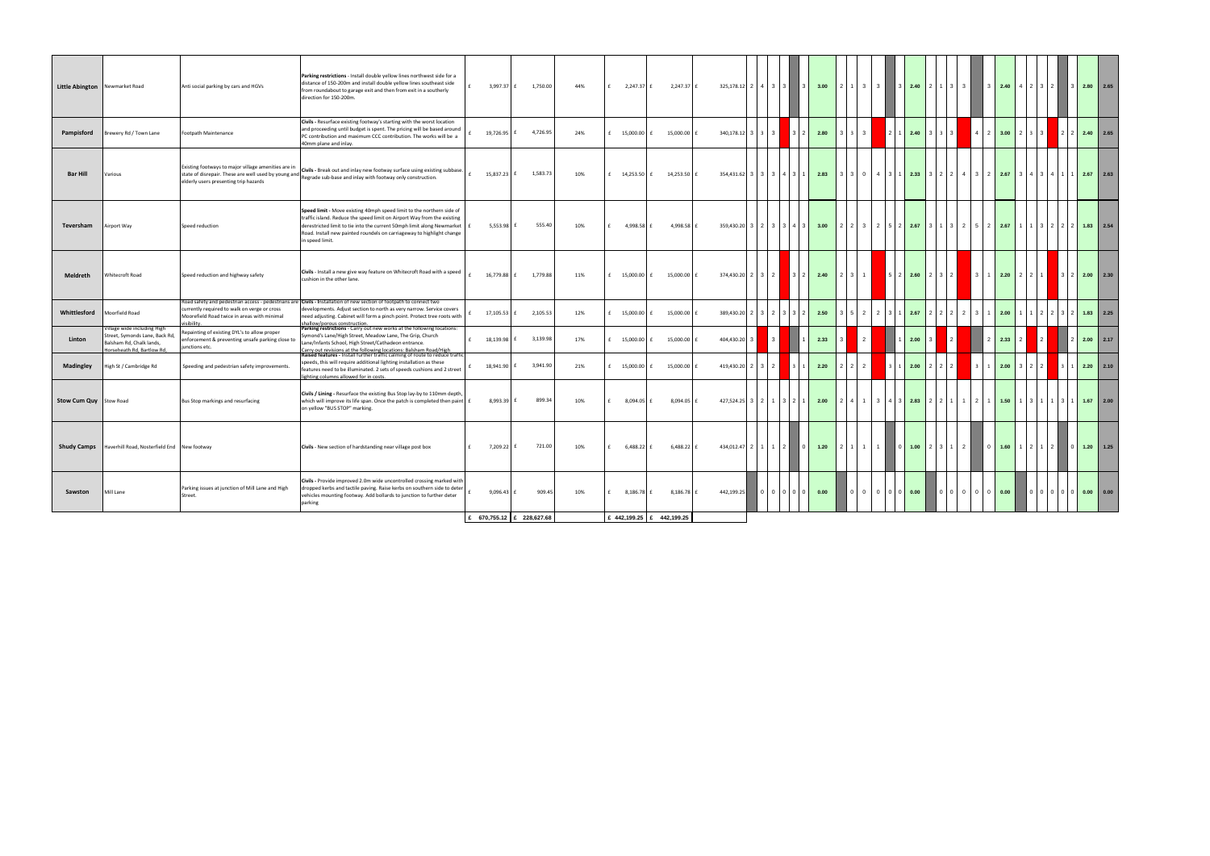| Little Abington Newmarket Road |                                                                                                                      | Anti social parking by cars and HGVs                                                                                                                 | Parking restrictions - Install double yellow lines northwest side for a<br>distance of 150-200m and install double yellow lines southeast side<br>from roundabout to garage exit and then from exit in a southerly<br>direction for 150-200m.                                                                          | 3,997.37 £                | 1,750.00 | 44% | f                   | 2,247.37 £<br>2,247.37 £         | $325,178.12$ 2 4 3 3              |                   |              | 3                          | 3.00             | $2 \quad 1 \quad 3$    | 3 <sup>1</sup>                 |            | $3 \mid 2.40$              | $2 \mid 1 \mid 3 \mid 3 \mid$ |                      | $\vert 3 \vert$              | 2.40 |                         | $4 \mid 2 \mid 3 \mid 2 \mid$                              | $3 \mid 2.80 \mid 2.65$ |      |
|--------------------------------|----------------------------------------------------------------------------------------------------------------------|------------------------------------------------------------------------------------------------------------------------------------------------------|------------------------------------------------------------------------------------------------------------------------------------------------------------------------------------------------------------------------------------------------------------------------------------------------------------------------|---------------------------|----------|-----|---------------------|----------------------------------|-----------------------------------|-------------------|--------------|----------------------------|------------------|------------------------|--------------------------------|------------|----------------------------|-------------------------------|----------------------|------------------------------|------|-------------------------|------------------------------------------------------------|-------------------------|------|
| Pampisford                     | Brewery Rd / Town Lane                                                                                               | Footpath Maintenance                                                                                                                                 | Civils - Resurface existing footway's starting with the worst location<br>and proceeding until budget is spent. The pricing will be based around<br>PC contribution and maximum CCC contribution. The works will be a<br>40mm plane and inlay.                                                                         | 19,726.95 £               | 4,726.95 | 24% |                     | 15,000.00 £<br>15,000.00         | 340,178.12                        | $3 \mid 3 \mid 3$ |              | $3 \mid 2 \mid$            | 2.80             | $3 \mid 3$             |                                | 211        | $2.40$                     | $\mathbf{R}$                  | $3 \mid 3$           | $4 \mid 2$                   | 3.00 | $\overline{\mathbf{z}}$ | $\overline{3}$                                             | $2.40$ 2.65             |      |
| <b>Bar Hill</b>                | Various                                                                                                              | Existing footways to major village amenities are in<br>state of disrepair. These are well used by young and<br>elderly users presenting trip hazards | Civils - Break out and inlay new footway surface using existing subbase.<br>Regrade sub-base and inlay with footway only construction.                                                                                                                                                                                 | 15,837.23 £               | 1,583.73 | 10% | £ $14,253.50$ £     | 14,253.50 £                      | $354,431.62$ 3 3 3 4 3 4          |                   |              |                            | 2.83             | $3 \quad 3 \quad 0$    |                                | 4 3 1 2.33 |                            |                               |                      | $3$   2   2   4   3   2      | 2.67 |                         | 3 4 3 4 1                                                  | $2.67$ 2.63             |      |
| Teversham                      | Airport Way                                                                                                          | Speed reduction                                                                                                                                      | Speed limit - Move existing 40mph speed limit to the northern side of<br>traffic island. Reduce the speed limit on Airport Way from the existing<br>derestricted limit to tie into the current 50mph limit along Newmarket<br>Road. Install new painted roundels on carriageway to highlight change<br>in speed limit. | 5,553.98 £                | 555.40   | 10% | £ 4,998.58 £        | 4,998.58 £                       | $359,430.20$ 3 2 3 3 4 3 4 3 3 00 |                   |              |                            |                  | 2 2 3 2 5 2 267        |                                |            |                            |                               |                      | 3   1   3   2   5   2   2.67 |      |                         | $1 \mid 1 \mid 3 \mid 2 \mid 2 \mid 2 \mid 1.83 \mid 2.54$ |                         |      |
| Meldreth                       | <b>Whitecroft Road</b>                                                                                               | Speed reduction and highway safety                                                                                                                   | Civils - Install a new give way feature on Whitecroft Road with a speed<br>cushion in the other lane.                                                                                                                                                                                                                  | 16,779.88 £               | 1,779.88 | 11% |                     | $E = 15,000.00$ £<br>15,000.00 £ | 374,430.20 2 3 2                  |                   |              | $3 \mid 2 \mid$            | 2.40             | $2 \mid 3 \mid 1$      |                                |            | $5$   2   2.60   2   3   2 |                               |                      | $3 \mid 1$                   |      | $2.20$ $2$ $2$ $1$      |                                                            | $2.00$ 2.30             |      |
| Whittlesford                   | Moorfield Road                                                                                                       | currently required to walk on verge or cross<br>Moorefield Road twice in areas with minimal                                                          | Road safety and pedestrian access - pedestrians are <b>Civils - I</b> nstallation of new section of footpath to connect two<br>developments. Adjust section to north as very narrow. Service covers<br>need adjusting. Cabinet will form a pinch point. Protect tree roots with                                        | 17,105.53 £               | 2,105.53 | 12% |                     | 15,000.00 £<br>15,000.00 £       | 389,430.20 2 3 2 3 3 2            |                   |              |                            | 2.50             | $3 \mid 5 \mid 2 \mid$ |                                | 2 3 1 2.67 |                            | $\sqrt{2}$                    | 2<br>$2 \mid 2 \mid$ |                              | 2.00 |                         | $2 \mid 2$                                                 | 1.83                    | 2.25 |
| Linton                         | /illage wide including High<br>Street, Symonds Lane, Back Rd,<br>Balsham Rd, Chalk lands,<br>seheath Rd. Bartlow Rd. | epainting of existing DYL's to allow proper<br>inforcement & preventing unsafe parking close to<br>unctions etc.                                     | Parking restrictions - Carry out new works at the following locations:<br>ymond's Lane/High Street, Meadow Lane, The Grip, Church<br>Lane/Infants School, High Street/Cathadeon entrance.<br>arry out revisions at the following locations: Balsham Road/High                                                          | 18,139.98 £               | 3,139.98 | 17% | $E = 15,000.00$ $E$ | 15,000.00                        | 404,430.20                        |                   | $\mathbf{3}$ |                            | 2.33             |                        | $\overline{2}$                 |            | 2.00                       |                               |                      |                              | 2.33 |                         |                                                            | 2.00                    | 2.17 |
| <b>Madingley</b>               | High St / Cambridge Rd                                                                                               | Speeding and pedestrian safety improvements.                                                                                                         | Raised features - Install further traffic calming of route to reduce traffic<br>speeds, this will require additional lighting installation as these<br>features need to be illuminated. 2 sets of speeds cushions and 2 street<br>ghting columns allowed for in costs.                                                 | 18,941.90 £               | 3,941.90 | 21% |                     | 15,000.00 £<br>15,000.00         | 419,430.20 2 3 2                  |                   |              |                            | 2.20             | $2 \mid 2$             |                                |            | $2.00$                     |                               | $2 \mid 2$           |                              | 2.00 | $\overline{2}$          |                                                            | 2.20                    | 2.10 |
| Stow Cum Quy Stow Road         |                                                                                                                      | Bus Stop markings and resurfacing                                                                                                                    | Civils / Lining - Resurface the existing Bus Stop lay-by to 110mm depth,<br>which will improve its life span. Once the patch is completed then paint £<br>on yellow "BUS STOP" marking.                                                                                                                                | 8,993.39 £                | 899.34   | 10% | f                   | 8,094.05 £<br>8,094.05 £         | 427,524.25 3 2                    |                   |              | $3 \overline{2}$           | 2.00             |                        | $\overline{1}$<br>$\mathbf{3}$ |            | $1 \ 3 \ 2.83$             | $2 \mid 1$<br>$\sqrt{2}$      |                      |                              | 1.50 | $\vert 3 \vert$         | 1   1                                                      | 1.67                    | 2.00 |
| <b>Shudy Camps</b>             | Haverhill Road, Nosterfield End New footway                                                                          |                                                                                                                                                      | Civils - New section of hardstanding near village post box                                                                                                                                                                                                                                                             | 7,209.22 £                | 721.00   | 10% |                     | 6,488.22 £<br>$6,488.22$ £       | 434,012.47 2 1 1 2                |                   |              | $\overline{\phantom{a}}$ 0 | 1.20             | $2111111$              |                                |            | $0 \quad 1.00$             | $2 \mid 3 \mid 1 \mid 2 \mid$ |                      | $\Box$ 0                     | 1.60 |                         | $1 \quad 2 \quad 1 \quad 2 \quad 1$                        | $0$ 1.20 1.25           |      |
| Sawston                        | Mill Lane                                                                                                            | Parking issues at junction of Mill Lane and High<br>Street.                                                                                          | Civils - Provide improved 2.0m wide uncontrolled crossing marked with<br>dropped kerbs and tactile paving. Raise kerbs on southern side to deter<br>vehicles mounting footway. Add bollards to junction to further deter<br>parking                                                                                    | 9,096.43 £                | 909.45   | 10% | f                   | 8,186.78 £<br>8,186.78 £         | 442,199.25                        |                   |              |                            | $ 0 0 0 00$ 0.00 |                        |                                |            |                            |                               |                      | 0 0 0 0 0 0 0 0 0 0          |      |                         | $ 0 0 0 0 0 $ 0.00 0.00                                    |                         |      |
|                                |                                                                                                                      |                                                                                                                                                      |                                                                                                                                                                                                                                                                                                                        | £ 670,755.12 £ 228,627.68 |          |     |                     | £ 442,199.25 £ 442,199.25        |                                   |                   |              |                            |                  |                        |                                |            |                            |                               |                      |                              |      |                         |                                                            |                         |      |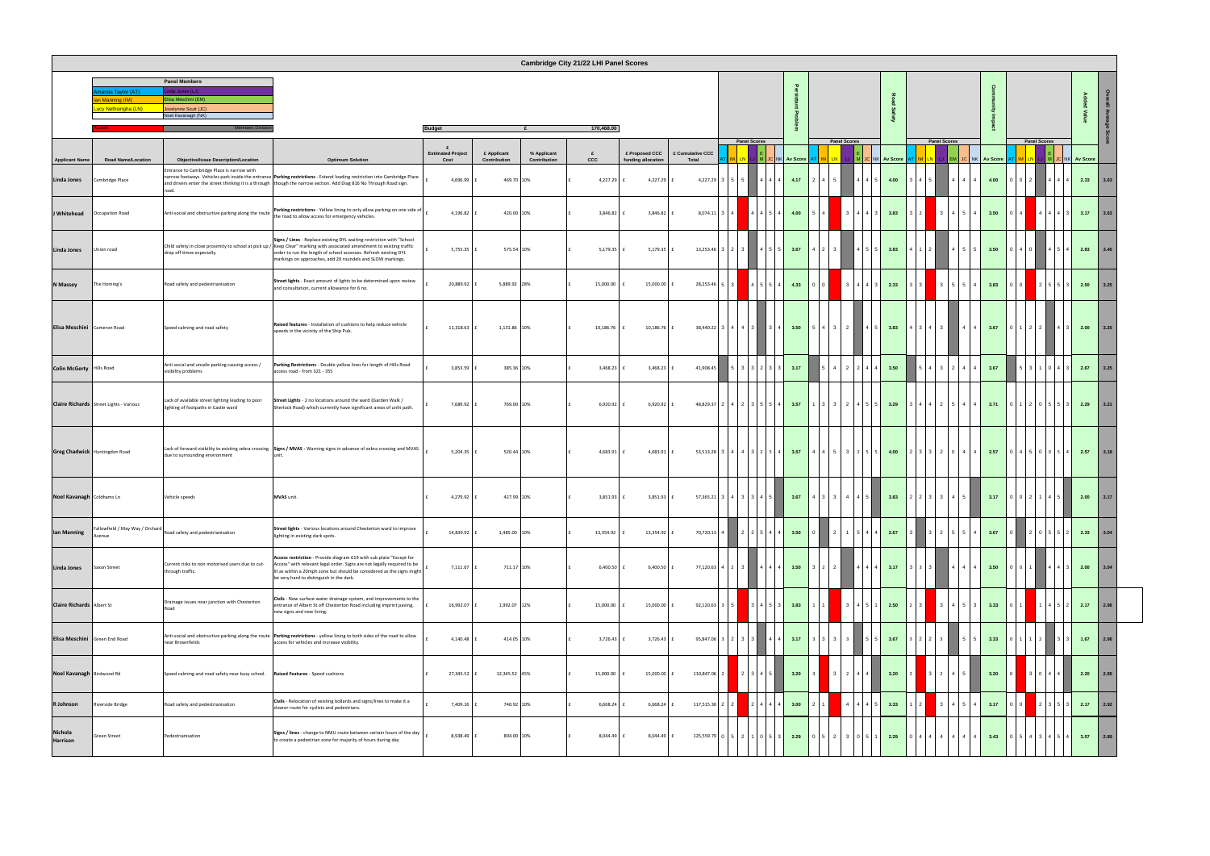|                                   |                                                                  |                                                                                                           |                                                                                                                                                                                                                                                                                                                                     |                                  |                             |                             | <b>Cambridge City 21/22 LHI Panel Scores</b> |                                      |                           |                              |                             |                 |                          |                                                         |                    |                                             |                                              |                 |                |                          |                                                         |      |
|-----------------------------------|------------------------------------------------------------------|-----------------------------------------------------------------------------------------------------------|-------------------------------------------------------------------------------------------------------------------------------------------------------------------------------------------------------------------------------------------------------------------------------------------------------------------------------------|----------------------------------|-----------------------------|-----------------------------|----------------------------------------------|--------------------------------------|---------------------------|------------------------------|-----------------------------|-----------------|--------------------------|---------------------------------------------------------|--------------------|---------------------------------------------|----------------------------------------------|-----------------|----------------|--------------------------|---------------------------------------------------------|------|
|                                   | nanda Tavlor (AT)<br>n Manning (IM)<br><b>by Nethsingha (LN)</b> | <b>Panel Members</b><br>ida Jones (L.<br>Iisa Meschini (EM)<br>locelynne Scutt (JC)<br>Noel Kavanagh (NK) |                                                                                                                                                                                                                                                                                                                                     | <b>Budget</b>                    |                             |                             |                                              |                                      |                           |                              |                             |                 |                          |                                                         |                    |                                             |                                              |                 |                |                          |                                                         |      |
|                                   |                                                                  |                                                                                                           |                                                                                                                                                                                                                                                                                                                                     |                                  |                             |                             | 170,468.00                                   |                                      |                           |                              | <b>Panel Scores</b>         |                 |                          | <b>Panel Scores</b>                                     |                    |                                             | <b>Panel Scores</b>                          |                 |                | <b>Panel Scores</b>      |                                                         |      |
| <b>Applicant Name</b>             | <b>Road Name/Location</b>                                        | <b>Objective/Issue Description/Location</b>                                                               | <b>Optimum Solution</b>                                                                                                                                                                                                                                                                                                             | <b>Estimated Project</b><br>Cost | £ Applicant<br>Contribution | % Applicant<br>Contribution | £<br>ccc                                     | £ Proposed CCC<br>funding allocation | £ Cumulative CCC<br>Total |                              |                             | <b>Av Score</b> |                          |                                                         | <b>NK</b> Av Score |                                             |                                              | <b>Av Score</b> |                |                          | NK Av Score                                             |      |
| Linda Jones                       | Cambridge Place                                                  | Entrance to Cambridge Place is narrow with<br>road.                                                       | narrow footways. Vehicles park inside the entrance Parking restrictions - Extend loading restriction into Cambridge Place<br>and drivers enter the street thinking it is a through   though the narrow section. Add Diag 816 No Through Road sign.                                                                                  | 4,696.99                         | 469.70 10%                  |                             | 4,227.29                                     | 4,227.29 £                           |                           | $4,227.29$ 3 5 5             | 4 4 4                       | 4.17            | $2 \mid 4 \mid 5 \mid$   |                                                         | 4.00               |                                             | 4 4 4                                        | 4.00            |                |                          | $4 \mid 4 \mid 4$<br>2.33                               | 3.63 |
| J Whitehead                       | Occupation Road                                                  |                                                                                                           | Anti-social and obstructive parking along the route <b>Parking restrictions</b> - Yellow lining to only allow parking on one side of the road to allow access for emergency vehicles.                                                                                                                                               | 4,196.82                         | 420.00 10%                  |                             | 3,846.82                                     | 3,846.82                             | 8,074.11 3                |                              | 4145                        | 4.00            | $5^{\circ}4^{\circ}$     | $3 \cdot$                                               | 3.83               |                                             | $\mathbf{3}$                                 | 3.50            |                |                          | 3.17                                                    | 3.63 |
| Linda Jones                       | Union road                                                       | drop off times especially.                                                                                | Signs / Lines - Replace existing DYL waiting restriction with "School<br>Child safety in close proximity to school at pick up / Keep Clear" marking with associated amendment to existing traffic<br>order to run the length of school accesses. Refresh existing DYL<br>markings on approaches, add 20 roundels and SLOW markings. | 5,755.35                         | 575.54 10%                  |                             | 5,179.35                                     | 5,179.35 £                           |                           | $13,253.46$ 3 2 3            |                             | 3.67            | 423                      |                                                         | 3.83               | 112                                         |                                              | 3.50            | 4 1 0          | 4   5                    | 2.83                                                    | 3.46 |
| N Massey                          | The Homing's                                                     | Road safety and pedestrianisation                                                                         | Street lights - Exact amount of lights to be determined upon review<br>and consultation, current allowance for 6 no.                                                                                                                                                                                                                | 20,889.92                        | 5,889.92 28%                |                             | 15,000.00                                    | 15,000.00 £                          | 28,253.46 5               |                              | $4 \quad 5 \quad 5$         | 4.33            | $\overline{\phantom{0}}$ | $3 \mid 4 \mid 4 \mid 3$                                | 2.33               | $3 \mid 3$                                  | $\mathbf{3}$<br>$1.5 - 1$                    | 3.83            | 0 10           | $2 \mid 5 \mid 5 \mid 3$ | 2.50                                                    | 3.25 |
| Elisa Meschini Cameron Road       |                                                                  | Speed calming and road safety                                                                             | Raised features - Installation of cushions to help reduce vehicle<br>speeds in the vicinity of the Ship Pub.                                                                                                                                                                                                                        | 11,318.63 f                      | 1,131.86 10%                |                             | 10,186.76                                    | 10,186.76 £<br>£                     |                           | $38,440.22$ 3 4 4 3 3 4      |                             | 3.50            | 543                      | 2 I<br>4 5                                              | 3.83               | 4 3 4                                       | 3 <br>44                                     | 3.67            |                | 122                      | 2.00                                                    | 3.25 |
| <b>Colin McGerty   Hills Road</b> |                                                                  | Anti social and unsafe parking causing access /<br>visibility problems                                    | Parking Restrictions - Double yellow lines for length of Hills Road<br>access road - from 321 - 355                                                                                                                                                                                                                                 | 3,853.59                         | 385.36 10%                  |                             | 3,468.23                                     | $3,468.23$ £                         | 41,908.45                 |                              | 533233                      | 3.17            | $5 \mid 4$               | $2 \mid 2 \mid 4 \mid 4$                                | 3.50               | $\overline{3}$                              | 2   4   4                                    | 3.67            |                | 5 3 1 0 4 3              | 2.67                                                    | 3.25 |
|                                   | <b>Claire Richards</b> Street Lights - Various                   | Lack of available street lighting leading to poor<br>lighting of footpaths in Castle ward                 | Street Lights - 2 no locations around the ward (Garden Walk /<br>Sherlock Road) which currently have significant areas of unlit path.                                                                                                                                                                                               | 7,689.92 £                       | 769.00 10%                  |                             | 6,920.92 £                                   | 6,920.92 £                           |                           | 48,829.37 2 4 2 3 5 5 4 3.57 |                             |                 |                          | $1 \mid 3 \mid 3 \mid 2 \mid 4 \mid 5 \mid 5 \mid 3.29$ |                    |                                             | $3   4   4   2   5   4   4$ 3.71             |                 |                |                          | $0 \mid 1 \mid 2 \mid 0 \mid 5 \mid 5 \mid 3 \mid 2.29$ | 3.21 |
| Greg Chadwick Huntingdon Road     |                                                                  | due to surrounding environment                                                                            | Lack of forward visibility to existing zebra crossing   Signs / MVAS - Warning signs in advance of zebra crossing and MVAS                                                                                                                                                                                                          | 5,204.35                         | 520.44 10%                  |                             | 4,683.91 £                                   | 4,683.91 £                           |                           | 53,513.28 3 4 4 3 2 5 4 3.57 |                             |                 |                          | 4   4   5   3   2   5   5   4.00                        |                    | $2 3 3 2 0 4 4$ 2.57                        |                                              |                 |                |                          | $0  4  5   0  0  5  4$ 2.57                             | 3.18 |
| Noel Kavanagh Coldhams Ln         |                                                                  | Vehicle speeds                                                                                            | MVAS unit.                                                                                                                                                                                                                                                                                                                          | 4,279.92 £                       | 427.99 10%                  |                             | 3,851.93 £                                   |                                      |                           | $57,365.21$ 3 4 3 3 4 5      |                             | 3.67            |                          | $4 \mid 3 \mid 3 \mid 4 \mid 4 \mid 5 \mid$             | 3.83               | $2 \mid 2 \mid 3 \mid 3 \mid 4 \mid 5 \mid$ |                                              | 3.17            |                | 0 0 2 1 4 5              | 2.00                                                    | 3.17 |
| <b>Ian Manning</b>                |                                                                  | Fallowfield / May Way / Orchard Road safety and pedestrianisation                                         | Street lights - Various locations around Chesterton ward to improve<br>lighting in existing dark spots.                                                                                                                                                                                                                             | 14,839.92 £                      | 1,485.00 10%                |                             | 13,354.92 £                                  | 13,354.92 £                          | 70,720.13                 |                              | 2 2 5 4 4                   | 3.50            | 2 I                      | $1 \t5 \t4 \t4$                                         | 2.67               | $3 \mid 2 \mid$                             | 5 5 4                                        | 3.67            |                | 2 0 5 5 2                | 2.33                                                    | 3.04 |
| <b>Linda Jones</b>                | Saxon Street                                                     | Current risks to non motorised users due to cut-<br>through traffic.                                      | Access restriction - Provide diagram 619 with sub plate "Except for<br>Access" with relevant legal order. Signs are not legally required to be<br>lit as within a 20mph zone but should be considered as the signs might<br>be very hard to distinguish in the dark.                                                                | 7,111.67 £                       | 711.17 10%                  |                             | 6,400.50                                     | 6,400.50 £                           |                           | 77,120.63 4 2 3 4 4 4        |                             | 3.50            | $3 \mid 2 \mid 2 \mid$   | 444                                                     | 3.17               | $3 \mid 3 \mid 3 \mid$                      | $4 \mid 4 \mid 4$                            | 3.50            | $0$ 0 1        |                          | 4 4 3 <br>2.00                                          | 3.04 |
| <b>Claire Richards Albert St</b>  |                                                                  | Drainage issues near junction with Chesterton<br>Road                                                     | Civils - New surface water drainage system, and improvements to the<br>entrance of Albert St off Chesterton Road including imprint paving,<br>new signs and new lining.                                                                                                                                                             | 16,992.07 £                      | 1,992.07 12%                |                             | 15,000.00 £                                  | 15,000.00 £                          | $92,120.63$ 3 5           |                              | $3   4   5   3$             | 3.83            | $\overline{11}$          | $3 \mid 4 \mid 5 \mid 1$                                | 2.50               |                                             | $\overline{\mathbf{3}}$<br>$4 \mid 5 \mid 3$ | 3.33            |                |                          | 1   4   5   2  <br>2.17                                 | 2.96 |
| Elisa Meschini Green End Road     |                                                                  | near Brownfields                                                                                          | Anti-social and obstructive parking along the route Parking restrictions - yellow lining to both sides of the road to allow<br>access for vehicles and increase visibility.                                                                                                                                                         | 4,140.48                         | 414.05 10%                  |                             | 3,726.43                                     |                                      | 95,847.06 3               | 2 3 3                        |                             | 3.17            |                          |                                                         | 3.67               | $\overline{\mathbf{3}}$                     | 5 <sub>1</sub>                               | 3.33            |                |                          | 1.67                                                    | 2.96 |
| Noel Kavanagh Birdwood Rd         |                                                                  | Speed calming and road safety near busy school.                                                           | Raised Features - Speed cushions                                                                                                                                                                                                                                                                                                    | 27,345.52                        | 12,345.52 45%               |                             | 15,000.00                                    | 15,000.00 £                          | 110,847.06 2              |                              | $2 \quad 3 \quad 4 \quad 5$ | 3.20            |                          |                                                         | 3.20               |                                             | $4 \mid 5$                                   | 3.20            |                | $\overline{3}$           | 2.20                                                    | 2.95 |
| R Johnson                         | Riverside Bridge                                                 | Road safety and pedestrianisation                                                                         | Civils - Relocation of existing bollards and signs/lines to make it a<br>clearer route for cyclists and pedestrians.                                                                                                                                                                                                                | 7,409.16 f                       | 740.92 10%                  |                             | 6,668.24                                     | 6,668.24 £                           | 117,515.30 2              |                              |                             | 3.00            | $\overline{11}$          | $4 \mid 4$<br>$4 \mid 5$                                | 3.33               |                                             | $\mathbf{3}$<br>$4 \mid 5 \mid 4$            | 3.17            | $\overline{0}$ |                          | 2.17<br>2 3 5 3                                         | 2.92 |
| Nichola<br>Harrison               | Green Street                                                     | Pedestrianisation                                                                                         | Signs / lines - change to NMU route between certain hours of the day<br>to create a pedestrian zone for majority of hours during day                                                                                                                                                                                                | 8,938.49                         | 894.00 10%                  |                             | 8,044.49                                     | 8,044.49 £<br>f.                     | 125,559.79                | 5 2 1                        |                             | 2.29            |                          |                                                         | 2.29               |                                             |                                              | 3.43            |                |                          | 3.57                                                    | 2.89 |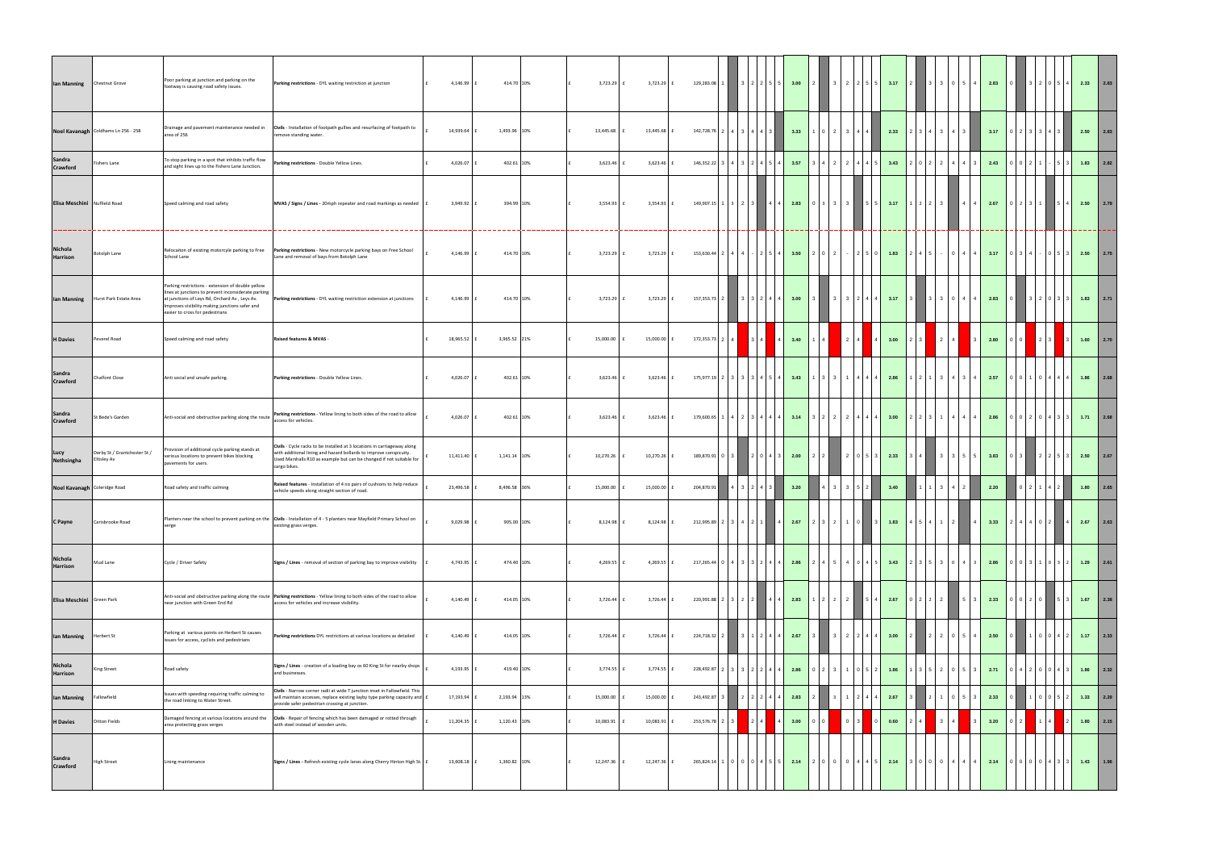| <b>Ian Manning</b>           | <b>Chestnut Grove</b>                       | Poor parking at junction and parking on the<br>footway is causing road safety issues.                                                                                                                                                          | Parking restrictions - DYL waiting restriction at junction                                                                                                                                                                             | 4,146.99 E  | 414.70 10%   |  | $3,723.29$ £    |             | 3,723.29 £   | 129,283.08                      |                          |                                        |                 | $1 \t3 \t2 \t2 \t5 \t3.00 \t2$                          |                               |                               | $3$ 2 2 5 5 3.17                       |      |                        | 333054                                             |                                                     | 2.83 |                 |                                        |                                 | $3$ 2 0 5 4 2.33 2.83                                      |                                                   |
|------------------------------|---------------------------------------------|------------------------------------------------------------------------------------------------------------------------------------------------------------------------------------------------------------------------------------------------|----------------------------------------------------------------------------------------------------------------------------------------------------------------------------------------------------------------------------------------|-------------|--------------|--|-----------------|-------------|--------------|---------------------------------|--------------------------|----------------------------------------|-----------------|---------------------------------------------------------|-------------------------------|-------------------------------|----------------------------------------|------|------------------------|----------------------------------------------------|-----------------------------------------------------|------|-----------------|----------------------------------------|---------------------------------|------------------------------------------------------------|---------------------------------------------------|
|                              | Noel Kavanagh Coldhams Ln 256 - 258         | Drainage and pavement maintenance needed in<br>area of 256                                                                                                                                                                                     | Civils - Installation of footpath gullies and resurfacing of footpath to<br>remove standing water.                                                                                                                                     | 14,939.64   | 1,493.96 10% |  | 13,445.68 £     | 13,445.68 £ |              | $142,728.76$ 2 4 3 4 4 3        |                          |                                        |                 | 3.33                                                    |                               |                               | $1 \mid 0 \mid 2 \mid 3 \mid 4 \mid 4$ | 2.33 |                        | 2 3 4 3 4 3                                        |                                                     | 3.17 |                 | 0   2   3   3   4   3                  |                                 | 2.50                                                       | 2.83                                              |
| Sandra<br>Crawford           | Fishers Lane                                | To stop parking in a spot that inhibits traffic flow<br>and sight lines up to the Fishers Lane Junction.                                                                                                                                       | Parking restrictions - Double Yellow Lines.                                                                                                                                                                                            | 4,026.07    | 402.61 10%   |  | 3,623.46 £      | 3,623.46    |              | 146,352.22                      |                          | $3   4   3   2   4   5   4$ 3.57       |                 |                                                         |                               | $3 \mid 4 \mid 2 \mid 2$      | $4 \mid 4 \mid 5$                      | 3.43 | $\sqrt{2}$             | $\overline{2}$                                     | $4 \mid 4 \mid$                                     | 2.43 |                 | $0$   2   1                            |                                 | 1.83                                                       |                                                   |
| Elisa Meschini Nuffield Road |                                             | Speed calming and road safety                                                                                                                                                                                                                  | MVAS / Signs / Lines - 20mph repeater and road markings as needed                                                                                                                                                                      | 3,949.92    | 394.99 10%   |  | 3,554.93 £      |             |              | 149,907.15 1 3 2 3 4 4 2 2.83   |                          |                                        |                 |                                                         | $0 \mid 3 \mid 3 \mid 3 \mid$ |                               | 55                                     | 3.17 |                        | $1223$ 44                                          |                                                     | 2.67 |                 |                                        |                                 | $0 \mid 2 \mid 3 \mid 1 \mid 5 \mid 4 \mid 2.50 \mid 2.79$ |                                                   |
| Nichola<br><b>Harrison</b>   | Botolph Lane                                | Relocaiton of existing motorcyle parking to Free<br>School Lane                                                                                                                                                                                | Parking restrictions - New motorcycle parking bays on Free School<br>Lane and removal of bays from Botolph Lane                                                                                                                        | 4,146.99    | 414.70 10%   |  | $3,723.29$ £    |             | 3,723.29 £   | $153,630.44$ 2 4 4 - 2 5 4 3.50 |                          |                                        |                 |                                                         |                               |                               | $2 0 2 $ - $2 5 0$                     | 1.83 | $2 \quad 4 \quad 5$    |                                                    | $-0$ 4 4                                            | 3.17 |                 | $0 3 4  - 0 5 3 $                      |                                 |                                                            | 2.50 2.75                                         |
| <b>Ian Manning</b>           | Hurst Park Estate Area                      | Parking restrictions - extension of double yellow<br>lines at junctions to prevent inconsiderate parking<br>at junctions of Leys Rd, Orchard Av, Leys Av.<br>Improves visibility making junctions safer and<br>easier to cross for pedestrians | Parking restrictions - DYL waiting restriction extension at junctions                                                                                                                                                                  | 4,146.99    | 414.70 10%   |  | $3,723.29$ £    |             | $3,723.29$ £ | 157,353.73                      | $\overline{\phantom{a}}$ | $3$ 3 2 4 4 3.00                       |                 |                                                         |                               | 3 <sup>1</sup>                | 241                                    | 3.17 | <sup>3</sup>           | -3                                                 | $0 \mid 4$                                          | 2.83 |                 |                                        | $3 \mid 2 \mid 0 \mid 3 \mid 3$ |                                                            | $1.83$ 2.71                                       |
| <b>H</b> Davies              | Peverel Road                                | Speed calming and road safety                                                                                                                                                                                                                  | Raised features & MVAS                                                                                                                                                                                                                 | 18,965.52   | 3,965.52 21% |  | 15,000.00       | 15,000.00 £ |              | 172,353.73                      | 214                      | $3 \mid 4$                             | $\overline{4}$  | 3.40                                                    | $\vert$ 4                     |                               | $\overline{2}$                         | 3.00 |                        |                                                    |                                                     | 2.80 | 0 0 0           | 2 3                                    |                                 | 1.60                                                       | $\begin{array}{ c c }\n\hline\n2.70\n\end{array}$ |
| Sandra<br>Crawford           | Chalfont Close                              | Anti social and unsafe parking.                                                                                                                                                                                                                | Parking restrictions - Double Yellow Lines.                                                                                                                                                                                            | 4,026.07    | 402.61 10%   |  | 3,623.46 £      | 3,623.46    |              | 175,977.19                      |                          | $2$ 3 3 3 4 5 4                        |                 | 3.43                                                    |                               | $3 \mid 3 \mid$               | $4 \mid 4 \mid$                        | 2.86 |                        | $\mathbf{3}$                                       | 4 3                                                 | 2.57 |                 | 0 0 1 0 4 4 4                          |                                 | 1.86                                                       |                                                   |
| Sandra<br>Crawford           | St Bede's Garden                            | Anti-social and obstructive parking along the route rathing resources.                                                                                                                                                                         | Parking restrictions - Yellow lining to both sides of the road to allow                                                                                                                                                                | 4,026.07    | 402.61 10%   |  | 3,623.46 £      | 3,623.46    |              | 179,600.65                      |                          |                                        |                 | $1 \mid 4 \mid 2 \mid 3 \mid 4 \mid 4 \mid 4 \mid 3.14$ |                               |                               | 3 2 2 2 4 4 4                          | 3.00 | $2 \mid 2 \mid 3$      |                                                    | 444                                                 | 2.86 |                 |                                        |                                 | $0 0 2 0 4 3 3 $ 1.71 2.68                                 |                                                   |
| Lucy<br>Nethsingha           | Derby St / Grantchester St /<br>Eltisley Av | Provision of additional cycle parking stands at<br>various locations to prevent bikes blocking<br>pavements for users.                                                                                                                         | Civils - Cycle racks to be installed at 3 locations in carriageway along<br>with additional lining and hazard bollards to improve conspicuity.<br>Used Marshalls R10 as example but can be changed if not suitable for<br>cargo bikes. | 11,411.40 £ | 1,141.14 10% |  | 10,270.26       | 10,270.26 £ |              | 189,870.91                      | 0 I 3 I                  |                                        |                 | $12 0 4 3$ 2.00                                         |                               |                               | 2   0   5   3                          | 2.33 | 314                    |                                                    | $3 \mid 3 \mid 5 \mid 5$                            | 3.83 | $0 \mid 3 \mid$ |                                        | $2 \mid 2 \mid 5 \mid 3 \mid$   | 2.50                                                       |                                                   |
| Noel Kavanagh Coleridge Road |                                             | Road safety and traffic calming                                                                                                                                                                                                                | Raised features - Installation of 4 no pairs of cushions to help reduce<br>vehicle speeds along straight section of road.                                                                                                              | 23,496.58 £ | 8,496.58 36% |  | 15,000.00 £     | 15,000.00 £ |              | 204,870.91                      |                          | $4 \mid 3 \mid 2 \mid 4 \mid 3$        |                 | 3.20                                                    |                               | $4 \mid 3 \mid 3$             | $5 \mid 2$                             | 3.40 |                        | 113                                                | $4 \mid 2$                                          | 2.20 |                 | $0 \mid 2 \mid 1 \mid 4 \mid 2$        |                                 | 1.80                                                       | $\begin{array}{ c c }\n\hline\n2.65\n\end{array}$ |
| C Payne                      | Carisbrooke Road                            | verge                                                                                                                                                                                                                                          | Planters near the school to prevent parking on the Civils - Installation of 4 - 5 planters near Mayfield Primary School on<br>existing grass verges.                                                                                   | 9,029.98    | 905.00 10%   |  | 8,124.98 £      |             | 8,124.98 £   | 212,995.89 2 3 4 2 1            |                          |                                        |                 | $\parallel$ 4   2.67                                    |                               |                               | $ 2 3 2 1 0 $ 3                        | 1.83 | $4 \mid 5 \mid 4 \mid$ | $1 \quad 2 \quad$                                  | I 4                                                 | 3.33 |                 |                                        |                                 | 2   4   4   0   2   4   2.67   2.63                        |                                                   |
| Nichola<br><b>Harrison</b>   | Mud Lane                                    | Cycle / Driver Safety                                                                                                                                                                                                                          | Signs / Lines - removal of section of parking bay to improve visibility                                                                                                                                                                | 4,743.95 £  | 474.40 10%   |  | 4,269.55 £      |             | 4,269.55 £   | $217,265.44$ 0 4 3 3 2 4 4 2.86 |                          |                                        |                 |                                                         |                               |                               | 2   4   5   4   0   4   5              | 3.43 |                        | $2 \mid 3 \mid 5 \mid 3 \mid 0 \mid 4 \mid 3$      |                                                     | 2.86 |                 |                                        |                                 | $0 0 3 1 0 3 2$ 1.29 2.61                                  |                                                   |
| Elisa Meschini Green Park    |                                             | near junction with Green End Rd                                                                                                                                                                                                                | Anti-social and obstructive parking along the route Parking restrictions - Yellow lining to both sides of the road to allow<br>access for vehicles and increase visibility.                                                            | 4,140.49    | 414.05 10%   |  | $3,726.44 \t E$ |             | 3,726.44 £   | 220,991.88                      |                          | $2 \mid 3 \mid 2 \mid 2 \mid 4 \mid 4$ |                 | 2.83                                                    |                               | $1 \mid 2 \mid 2 \mid 2 \mid$ | 54                                     | 2.67 | $0 2 2 2 1$            |                                                    | $\begin{array}{ c c c c c } \hline \end{array}$ 5 3 | 2.33 |                 | $0 \mid 0 \mid 2 \mid 0 \mid 5 \mid 3$ |                                 |                                                            | $1.67$ 2.38                                       |
| <b>Ian Manning</b>           | Herbert St                                  | Parking at various points on Herbert St causes<br>issues for access, cyclists and pedestrians                                                                                                                                                  | Parking restrictions DYL restrictions at various locations as detailed                                                                                                                                                                 | 4,140.49    | 414.05 10%   |  |                 |             | 3,726.44 £   | 224,718.32                      |                          | $1 \t3 \t1 \t2 \t4 \t4 \t2.67$         |                 |                                                         |                               |                               | $3$ 2 2 4 4                            | 3.00 |                        | 2 2 0 5 4                                          |                                                     | 2.50 |                 |                                        |                                 | 1   0   0   4   2   1.17   2.33                            |                                                   |
| Nichola<br><b>Harrison</b>   | King Street                                 | Road safety                                                                                                                                                                                                                                    | Signs / Lines - creation of a loading bay os 60 King St for nearby shops<br>and businesses.                                                                                                                                            | 4,193.95 £  | 419.40 10%   |  | 3,774.55 £      |             | 3,774.55 £   | 228,492.87 2 3 3 2 2 4 4 2.86   |                          |                                        |                 |                                                         | $0 \mid 2 \mid 3$             |                               | $0 \mid 5 \mid 2$                      | 1.86 |                        | $1 \mid 3 \mid 5 \mid 2 \mid 0 \mid 5 \mid 3 \mid$ |                                                     | 2.71 |                 | 0  4 2 0 0 4 3                         |                                 | 1.86                                                       |                                                   |
| <b>Ian Manning</b>           | Fallowfield                                 | Issues with speeding requiring traffic calming to<br>the road linking to Water Street.                                                                                                                                                         | Civils - Narrow corner radii at wide T junction inset in Fallowfield. This<br>will maintain accesses, replace existing layby type parking capacity and £<br>provide safer pedestrian crossing at junction.                             | 17,193.94   | 2,193.94 13% |  | 15,000.00       | 15,000.00   | $\mathbf{f}$ | 243,492.87                      |                          |                                        | $2$  2  2  4  4 | 2.83                                                    |                               | $\overline{3}$                | $2414$                                 | 2.67 |                        |                                                    | $0 \mid 5 \mid 3$                                   | 2.33 |                 | $1 \quad 0 \quad 0 \quad 5$            |                                 | 1.33                                                       | $2.29$                                            |
| <b>H</b> Davies              | Ditton Fields                               | Damaged fencing at various locations around the<br>area protecting grass verges                                                                                                                                                                | Civils - Repair of fencing which has been damaged or rotted through<br>with steel instead of wooden units.                                                                                                                             | 11,204.35   | 1,120.43 10% |  | 10,083.91       | 10,083.91   |              | 253,576.78                      |                          | 24                                     |                 | 3.00                                                    | ⊢I ∩                          |                               | $\Omega$                               | 0.60 |                        |                                                    |                                                     | 3.20 | $\sqrt{2}$      |                                        | l 4.                            | 1.80                                                       | 2.15                                              |
| Sandra<br>Crawford           | High Street                                 | Lining maintenance                                                                                                                                                                                                                             | Signs / Lines - Refresh existing cycle lanes along Cherry Hinton High St. E                                                                                                                                                            | 13,608.18 £ | 1,360.82 10% |  | 12,247.36 £     |             | 12,247.36 £  | 265,824.14                      |                          | 0 0 0 4 55                             |                 | 2.14                                                    | 2 0 0                         |                               | $\Omega$<br>44                         | 2.14 | 300                    | $\mathbf{0}$                                       | 4 4                                                 | 2.14 |                 | 0 0 0 0 4 3 3                          |                                 |                                                            | $1.43$ 1.96                                       |